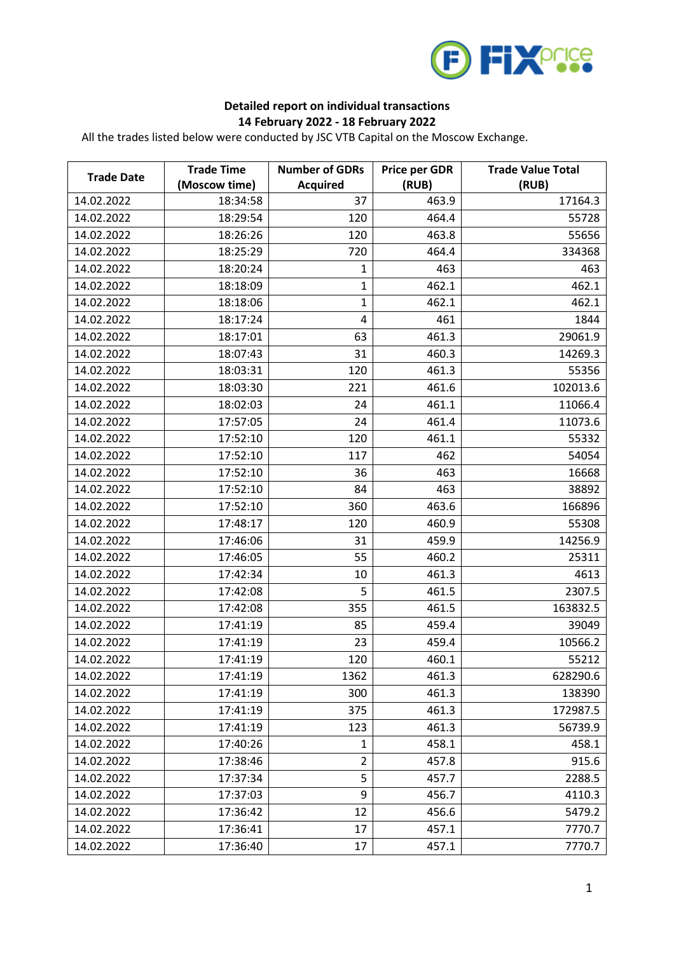

## **Detailed report on individual transactions 14 February 2022 - 18 February 2022**

All the trades listed below were conducted by JSC VTB Capital on the Moscow Exchange.

| <b>Trade Date</b> | <b>Trade Time</b>         | <b>Number of GDRs</b> | Price per GDR  | <b>Trade Value Total</b> |
|-------------------|---------------------------|-----------------------|----------------|--------------------------|
| 14.02.2022        | (Moscow time)<br>18:34:58 | <b>Acquired</b><br>37 | (RUB)<br>463.9 | (RUB)<br>17164.3         |
| 14.02.2022        | 18:29:54                  | 120                   | 464.4          | 55728                    |
| 14.02.2022        |                           | 120                   |                | 55656                    |
| 14.02.2022        | 18:26:26<br>18:25:29      |                       | 463.8<br>464.4 |                          |
|                   |                           | 720                   |                | 334368                   |
| 14.02.2022        | 18:20:24                  | 1                     | 463            | 463                      |
| 14.02.2022        | 18:18:09                  | $\mathbf{1}$          | 462.1          | 462.1                    |
| 14.02.2022        | 18:18:06                  | $\mathbf 1$           | 462.1          | 462.1                    |
| 14.02.2022        | 18:17:24                  | 4                     | 461            | 1844                     |
| 14.02.2022        | 18:17:01                  | 63                    | 461.3          | 29061.9                  |
| 14.02.2022        | 18:07:43                  | 31                    | 460.3          | 14269.3                  |
| 14.02.2022        | 18:03:31                  | 120                   | 461.3          | 55356                    |
| 14.02.2022        | 18:03:30                  | 221                   | 461.6          | 102013.6                 |
| 14.02.2022        | 18:02:03                  | 24                    | 461.1          | 11066.4                  |
| 14.02.2022        | 17:57:05                  | 24                    | 461.4          | 11073.6                  |
| 14.02.2022        | 17:52:10                  | 120                   | 461.1          | 55332                    |
| 14.02.2022        | 17:52:10                  | 117                   | 462            | 54054                    |
| 14.02.2022        | 17:52:10                  | 36                    | 463            | 16668                    |
| 14.02.2022        | 17:52:10                  | 84                    | 463            | 38892                    |
| 14.02.2022        | 17:52:10                  | 360                   | 463.6          | 166896                   |
| 14.02.2022        | 17:48:17                  | 120                   | 460.9          | 55308                    |
| 14.02.2022        | 17:46:06                  | 31                    | 459.9          | 14256.9                  |
| 14.02.2022        | 17:46:05                  | 55                    | 460.2          | 25311                    |
| 14.02.2022        | 17:42:34                  | 10                    | 461.3          | 4613                     |
| 14.02.2022        | 17:42:08                  | 5                     | 461.5          | 2307.5                   |
| 14.02.2022        | 17:42:08                  | 355                   | 461.5          | 163832.5                 |
| 14.02.2022        | 17:41:19                  | 85                    | 459.4          | 39049                    |
| 14.02.2022        | 17:41:19                  | 23                    | 459.4          | 10566.2                  |
| 14.02.2022        | 17:41:19                  | 120                   | 460.1          | 55212                    |
| 14.02.2022        | 17:41:19                  | 1362                  | 461.3          | 628290.6                 |
| 14.02.2022        | 17:41:19                  | 300                   | 461.3          | 138390                   |
| 14.02.2022        | 17:41:19                  | 375                   | 461.3          | 172987.5                 |
| 14.02.2022        | 17:41:19                  | 123                   | 461.3          | 56739.9                  |
| 14.02.2022        | 17:40:26                  | $\mathbf{1}$          | 458.1          | 458.1                    |
| 14.02.2022        | 17:38:46                  | $\overline{2}$        | 457.8          | 915.6                    |
| 14.02.2022        | 17:37:34                  | 5                     | 457.7          | 2288.5                   |
| 14.02.2022        | 17:37:03                  | 9                     | 456.7          | 4110.3                   |
| 14.02.2022        | 17:36:42                  | 12                    | 456.6          | 5479.2                   |
| 14.02.2022        | 17:36:41                  | 17                    | 457.1          | 7770.7                   |
| 14.02.2022        | 17:36:40                  | 17                    | 457.1          | 7770.7                   |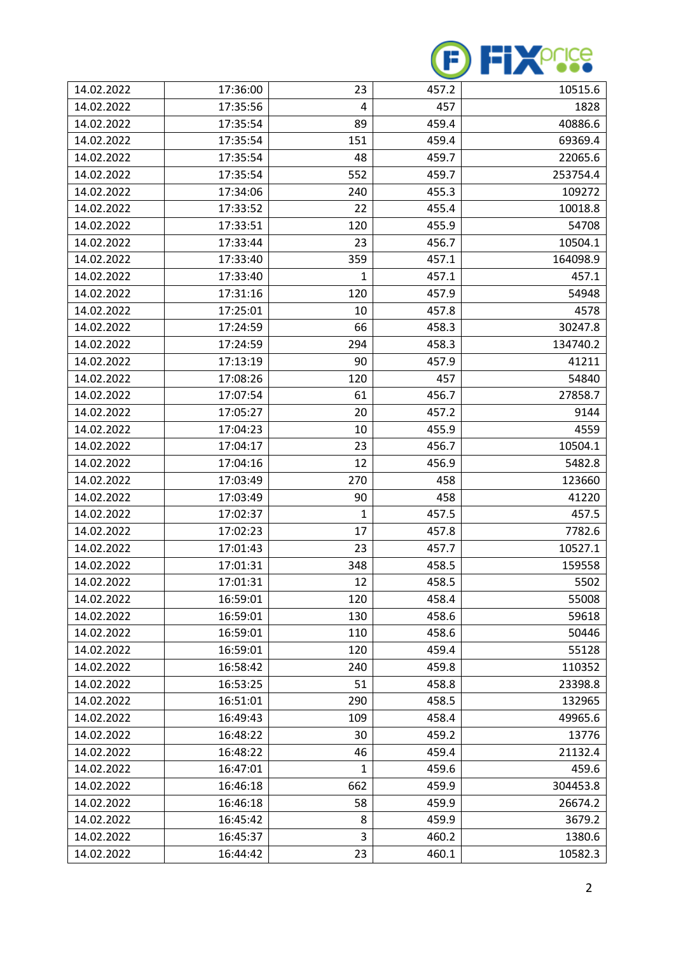

| 14.02.2022 | 17:36:00 | 23           | 457.2 | 10515.6  |
|------------|----------|--------------|-------|----------|
| 14.02.2022 | 17:35:56 | 4            | 457   | 1828     |
| 14.02.2022 | 17:35:54 | 89           | 459.4 | 40886.6  |
| 14.02.2022 | 17:35:54 | 151          | 459.4 | 69369.4  |
| 14.02.2022 | 17:35:54 | 48           | 459.7 | 22065.6  |
| 14.02.2022 | 17:35:54 | 552          | 459.7 | 253754.4 |
| 14.02.2022 | 17:34:06 | 240          | 455.3 | 109272   |
| 14.02.2022 | 17:33:52 | 22           | 455.4 | 10018.8  |
| 14.02.2022 | 17:33:51 | 120          | 455.9 | 54708    |
| 14.02.2022 | 17:33:44 | 23           | 456.7 | 10504.1  |
| 14.02.2022 | 17:33:40 | 359          | 457.1 | 164098.9 |
| 14.02.2022 | 17:33:40 | 1            | 457.1 | 457.1    |
| 14.02.2022 | 17:31:16 | 120          | 457.9 | 54948    |
| 14.02.2022 | 17:25:01 | 10           | 457.8 | 4578     |
| 14.02.2022 | 17:24:59 | 66           | 458.3 | 30247.8  |
| 14.02.2022 | 17:24:59 | 294          | 458.3 | 134740.2 |
| 14.02.2022 | 17:13:19 | 90           | 457.9 | 41211    |
| 14.02.2022 | 17:08:26 | 120          | 457   | 54840    |
| 14.02.2022 | 17:07:54 | 61           | 456.7 | 27858.7  |
| 14.02.2022 | 17:05:27 | 20           | 457.2 | 9144     |
| 14.02.2022 | 17:04:23 | 10           | 455.9 | 4559     |
| 14.02.2022 | 17:04:17 | 23           | 456.7 | 10504.1  |
| 14.02.2022 | 17:04:16 | 12           | 456.9 | 5482.8   |
| 14.02.2022 | 17:03:49 | 270          | 458   | 123660   |
| 14.02.2022 | 17:03:49 | 90           | 458   | 41220    |
| 14.02.2022 | 17:02:37 | 1            | 457.5 | 457.5    |
| 14.02.2022 | 17:02:23 | 17           | 457.8 | 7782.6   |
| 14.02.2022 | 17:01:43 | 23           | 457.7 | 10527.1  |
| 14.02.2022 | 17:01:31 | 348          | 458.5 | 159558   |
| 14.02.2022 | 17:01:31 | 12           | 458.5 | 5502     |
| 14.02.2022 | 16:59:01 | 120          | 458.4 | 55008    |
| 14.02.2022 | 16:59:01 | 130          | 458.6 | 59618    |
| 14.02.2022 | 16:59:01 | 110          | 458.6 | 50446    |
| 14.02.2022 | 16:59:01 | 120          | 459.4 | 55128    |
| 14.02.2022 | 16:58:42 | 240          | 459.8 | 110352   |
| 14.02.2022 | 16:53:25 | 51           | 458.8 | 23398.8  |
| 14.02.2022 | 16:51:01 | 290          | 458.5 | 132965   |
| 14.02.2022 | 16:49:43 | 109          | 458.4 | 49965.6  |
| 14.02.2022 | 16:48:22 | 30           | 459.2 | 13776    |
| 14.02.2022 | 16:48:22 | 46           | 459.4 | 21132.4  |
| 14.02.2022 | 16:47:01 | $\mathbf{1}$ | 459.6 | 459.6    |
| 14.02.2022 | 16:46:18 | 662          | 459.9 | 304453.8 |
| 14.02.2022 | 16:46:18 | 58           | 459.9 | 26674.2  |
| 14.02.2022 | 16:45:42 | 8            | 459.9 | 3679.2   |
| 14.02.2022 | 16:45:37 | 3            | 460.2 | 1380.6   |
| 14.02.2022 | 16:44:42 | 23           | 460.1 | 10582.3  |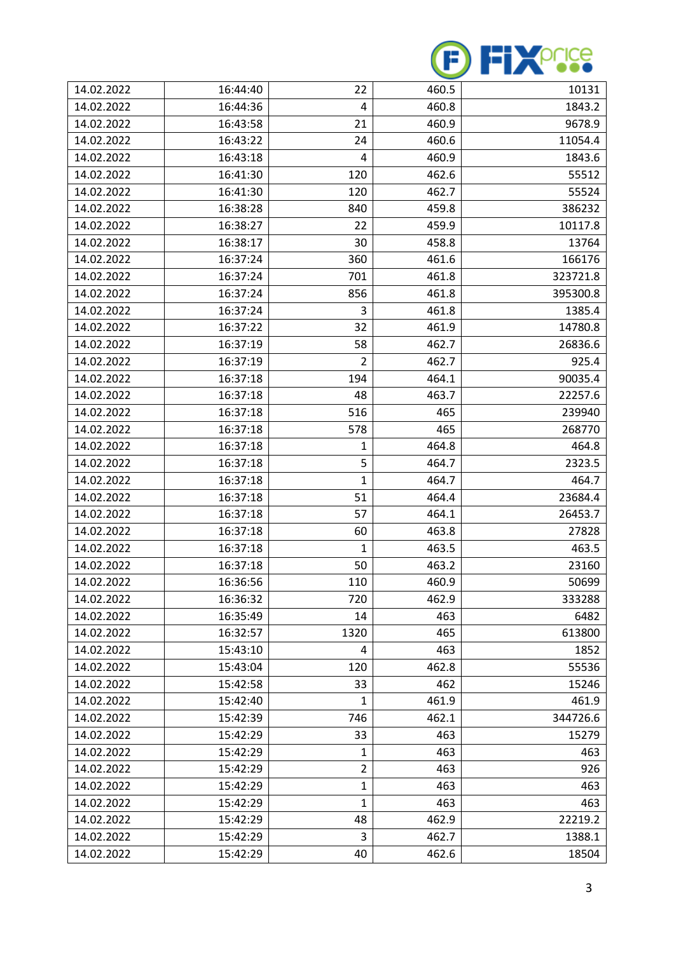

| 14.02.2022 | 16:44:40 | 22             | 460.5 | 10131    |
|------------|----------|----------------|-------|----------|
| 14.02.2022 | 16:44:36 | 4              | 460.8 | 1843.2   |
| 14.02.2022 | 16:43:58 | 21             | 460.9 | 9678.9   |
| 14.02.2022 | 16:43:22 | 24             | 460.6 | 11054.4  |
| 14.02.2022 | 16:43:18 | 4              | 460.9 | 1843.6   |
| 14.02.2022 | 16:41:30 | 120            | 462.6 | 55512    |
| 14.02.2022 | 16:41:30 | 120            | 462.7 | 55524    |
| 14.02.2022 | 16:38:28 | 840            | 459.8 | 386232   |
| 14.02.2022 | 16:38:27 | 22             | 459.9 | 10117.8  |
| 14.02.2022 | 16:38:17 | 30             | 458.8 | 13764    |
| 14.02.2022 | 16:37:24 | 360            | 461.6 | 166176   |
| 14.02.2022 | 16:37:24 | 701            | 461.8 | 323721.8 |
| 14.02.2022 | 16:37:24 | 856            | 461.8 | 395300.8 |
| 14.02.2022 | 16:37:24 | 3              | 461.8 | 1385.4   |
| 14.02.2022 | 16:37:22 | 32             | 461.9 | 14780.8  |
| 14.02.2022 | 16:37:19 | 58             | 462.7 | 26836.6  |
| 14.02.2022 | 16:37:19 | $\overline{2}$ | 462.7 | 925.4    |
| 14.02.2022 | 16:37:18 | 194            | 464.1 | 90035.4  |
| 14.02.2022 | 16:37:18 | 48             | 463.7 | 22257.6  |
| 14.02.2022 | 16:37:18 | 516            | 465   | 239940   |
| 14.02.2022 | 16:37:18 | 578            | 465   | 268770   |
| 14.02.2022 | 16:37:18 | 1              | 464.8 | 464.8    |
| 14.02.2022 | 16:37:18 | 5              | 464.7 | 2323.5   |
| 14.02.2022 | 16:37:18 | 1              | 464.7 | 464.7    |
| 14.02.2022 | 16:37:18 | 51             | 464.4 | 23684.4  |
| 14.02.2022 | 16:37:18 | 57             | 464.1 | 26453.7  |
| 14.02.2022 | 16:37:18 | 60             | 463.8 | 27828    |
| 14.02.2022 | 16:37:18 | 1              | 463.5 | 463.5    |
| 14.02.2022 | 16:37:18 | 50             | 463.2 | 23160    |
| 14.02.2022 | 16:36:56 | 110            | 460.9 | 50699    |
| 14.02.2022 | 16:36:32 | 720            | 462.9 | 333288   |
| 14.02.2022 | 16:35:49 | 14             | 463   | 6482     |
| 14.02.2022 | 16:32:57 | 1320           | 465   | 613800   |
| 14.02.2022 | 15:43:10 | 4              | 463   | 1852     |
| 14.02.2022 | 15:43:04 | 120            | 462.8 | 55536    |
| 14.02.2022 | 15:42:58 | 33             | 462   | 15246    |
| 14.02.2022 | 15:42:40 | 1              | 461.9 | 461.9    |
| 14.02.2022 | 15:42:39 | 746            | 462.1 | 344726.6 |
| 14.02.2022 | 15:42:29 | 33             | 463   | 15279    |
| 14.02.2022 | 15:42:29 | 1              | 463   | 463      |
| 14.02.2022 | 15:42:29 | $\overline{2}$ | 463   | 926      |
| 14.02.2022 | 15:42:29 | $\mathbf{1}$   | 463   | 463      |
| 14.02.2022 | 15:42:29 | 1              | 463   | 463      |
| 14.02.2022 | 15:42:29 | 48             | 462.9 | 22219.2  |
| 14.02.2022 | 15:42:29 | 3              | 462.7 | 1388.1   |
| 14.02.2022 | 15:42:29 | 40             | 462.6 | 18504    |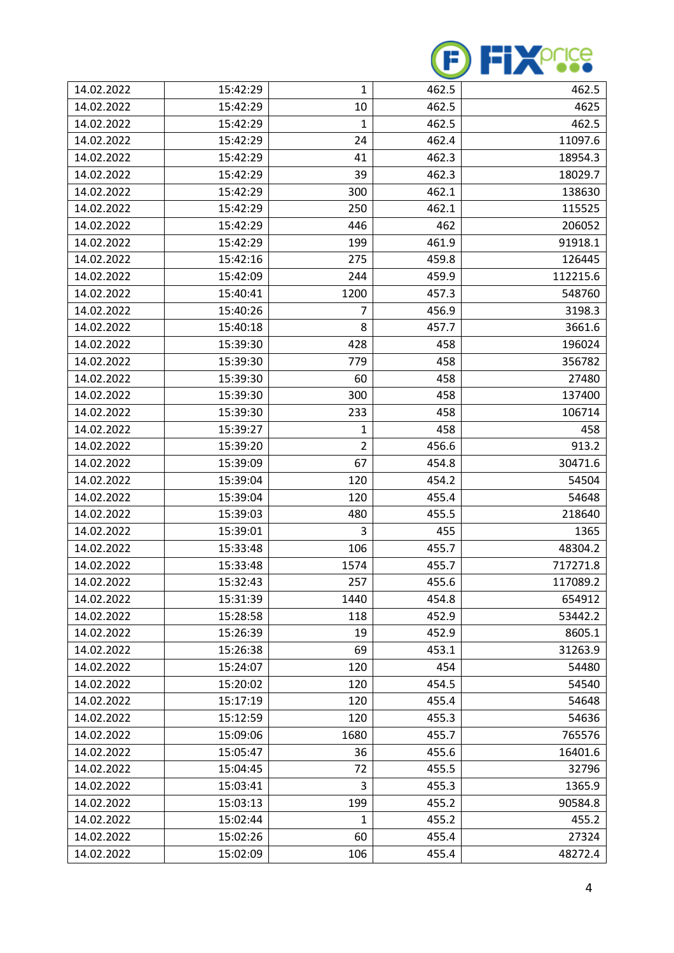

| 14.02.2022 | 15:42:29 | 1              | 462.5 | 462.5    |
|------------|----------|----------------|-------|----------|
| 14.02.2022 | 15:42:29 | 10             | 462.5 | 4625     |
| 14.02.2022 | 15:42:29 | 1              | 462.5 | 462.5    |
| 14.02.2022 | 15:42:29 | 24             | 462.4 | 11097.6  |
| 14.02.2022 | 15:42:29 | 41             | 462.3 | 18954.3  |
| 14.02.2022 | 15:42:29 | 39             | 462.3 | 18029.7  |
| 14.02.2022 | 15:42:29 | 300            | 462.1 | 138630   |
| 14.02.2022 | 15:42:29 | 250            | 462.1 | 115525   |
| 14.02.2022 | 15:42:29 | 446            | 462   | 206052   |
| 14.02.2022 | 15:42:29 | 199            | 461.9 | 91918.1  |
| 14.02.2022 | 15:42:16 | 275            | 459.8 | 126445   |
| 14.02.2022 | 15:42:09 | 244            | 459.9 | 112215.6 |
| 14.02.2022 | 15:40:41 | 1200           | 457.3 | 548760   |
| 14.02.2022 | 15:40:26 | 7              | 456.9 | 3198.3   |
| 14.02.2022 | 15:40:18 | 8              | 457.7 | 3661.6   |
| 14.02.2022 | 15:39:30 | 428            | 458   | 196024   |
| 14.02.2022 | 15:39:30 | 779            | 458   | 356782   |
| 14.02.2022 | 15:39:30 | 60             | 458   | 27480    |
| 14.02.2022 | 15:39:30 | 300            | 458   | 137400   |
| 14.02.2022 | 15:39:30 | 233            | 458   | 106714   |
| 14.02.2022 | 15:39:27 | 1              | 458   | 458      |
| 14.02.2022 | 15:39:20 | $\overline{2}$ | 456.6 | 913.2    |
| 14.02.2022 | 15:39:09 | 67             | 454.8 | 30471.6  |
| 14.02.2022 | 15:39:04 | 120            | 454.2 | 54504    |
| 14.02.2022 | 15:39:04 | 120            | 455.4 | 54648    |
| 14.02.2022 | 15:39:03 | 480            | 455.5 | 218640   |
| 14.02.2022 | 15:39:01 | 3              | 455   | 1365     |
| 14.02.2022 | 15:33:48 | 106            | 455.7 | 48304.2  |
| 14.02.2022 | 15:33:48 | 1574           | 455.7 | 717271.8 |
| 14.02.2022 | 15:32:43 | 257            | 455.6 | 117089.2 |
| 14.02.2022 | 15:31:39 | 1440           | 454.8 | 654912   |
| 14.02.2022 | 15:28:58 | 118            | 452.9 | 53442.2  |
| 14.02.2022 | 15:26:39 | 19             | 452.9 | 8605.1   |
| 14.02.2022 | 15:26:38 | 69             | 453.1 | 31263.9  |
| 14.02.2022 | 15:24:07 | 120            | 454   | 54480    |
| 14.02.2022 | 15:20:02 | 120            | 454.5 | 54540    |
| 14.02.2022 | 15:17:19 | 120            | 455.4 | 54648    |
| 14.02.2022 | 15:12:59 | 120            | 455.3 | 54636    |
| 14.02.2022 | 15:09:06 | 1680           | 455.7 | 765576   |
| 14.02.2022 | 15:05:47 | 36             | 455.6 | 16401.6  |
| 14.02.2022 | 15:04:45 | 72             | 455.5 | 32796    |
| 14.02.2022 | 15:03:41 | 3              | 455.3 | 1365.9   |
| 14.02.2022 | 15:03:13 | 199            | 455.2 | 90584.8  |
| 14.02.2022 | 15:02:44 | $\mathbf{1}$   | 455.2 | 455.2    |
| 14.02.2022 | 15:02:26 | 60             | 455.4 | 27324    |
| 14.02.2022 | 15:02:09 | 106            | 455.4 | 48272.4  |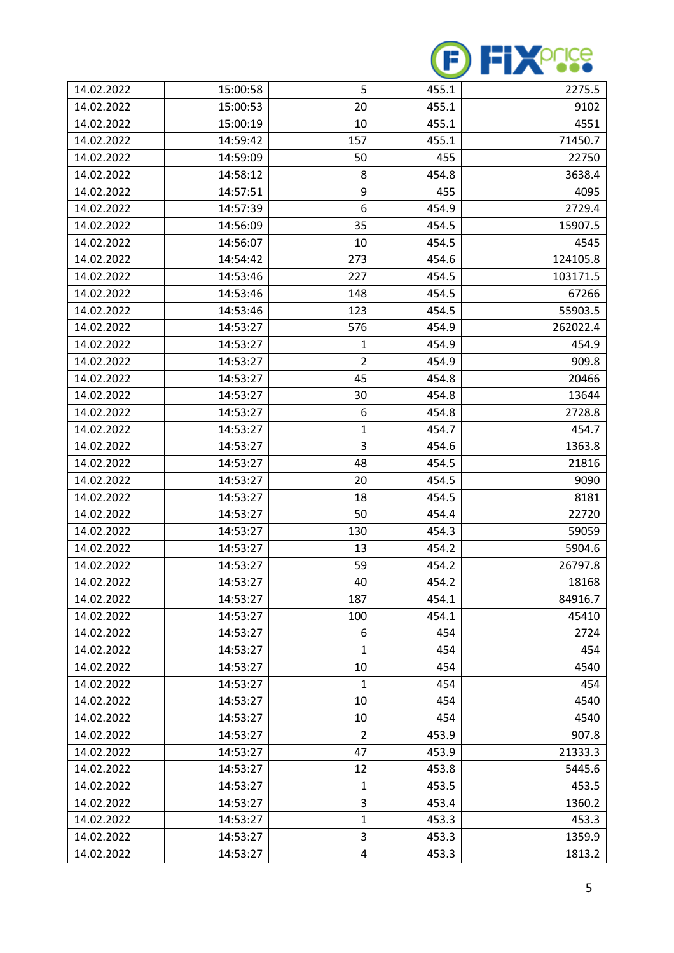

| 14.02.2022 | 15:00:58 | 5              | 455.1 | 2275.5   |
|------------|----------|----------------|-------|----------|
| 14.02.2022 | 15:00:53 | 20             | 455.1 | 9102     |
| 14.02.2022 | 15:00:19 | 10             | 455.1 | 4551     |
| 14.02.2022 | 14:59:42 | 157            | 455.1 | 71450.7  |
| 14.02.2022 | 14:59:09 | 50             | 455   | 22750    |
| 14.02.2022 | 14:58:12 | 8              | 454.8 | 3638.4   |
| 14.02.2022 | 14:57:51 | 9              | 455   | 4095     |
| 14.02.2022 | 14:57:39 | 6              | 454.9 | 2729.4   |
| 14.02.2022 | 14:56:09 | 35             | 454.5 | 15907.5  |
| 14.02.2022 | 14:56:07 | 10             | 454.5 | 4545     |
| 14.02.2022 | 14:54:42 | 273            | 454.6 | 124105.8 |
| 14.02.2022 | 14:53:46 | 227            | 454.5 | 103171.5 |
| 14.02.2022 | 14:53:46 | 148            | 454.5 | 67266    |
| 14.02.2022 | 14:53:46 | 123            | 454.5 | 55903.5  |
| 14.02.2022 | 14:53:27 | 576            | 454.9 | 262022.4 |
| 14.02.2022 | 14:53:27 | 1              | 454.9 | 454.9    |
| 14.02.2022 | 14:53:27 | $\overline{2}$ | 454.9 | 909.8    |
| 14.02.2022 | 14:53:27 | 45             | 454.8 | 20466    |
| 14.02.2022 | 14:53:27 | 30             | 454.8 | 13644    |
| 14.02.2022 | 14:53:27 | 6              | 454.8 | 2728.8   |
| 14.02.2022 | 14:53:27 | 1              | 454.7 | 454.7    |
| 14.02.2022 | 14:53:27 | 3              | 454.6 | 1363.8   |
| 14.02.2022 | 14:53:27 | 48             | 454.5 | 21816    |
| 14.02.2022 | 14:53:27 | 20             | 454.5 | 9090     |
| 14.02.2022 | 14:53:27 | 18             | 454.5 | 8181     |
| 14.02.2022 | 14:53:27 | 50             | 454.4 | 22720    |
| 14.02.2022 | 14:53:27 | 130            | 454.3 | 59059    |
| 14.02.2022 | 14:53:27 | 13             | 454.2 | 5904.6   |
| 14.02.2022 | 14:53:27 | 59             | 454.2 | 26797.8  |
| 14.02.2022 | 14:53:27 | 40             | 454.2 | 18168    |
| 14.02.2022 | 14:53:27 | 187            | 454.1 | 84916.7  |
| 14.02.2022 | 14:53:27 | 100            | 454.1 | 45410    |
| 14.02.2022 | 14:53:27 | 6              | 454   | 2724     |
| 14.02.2022 | 14:53:27 | $\mathbf{1}$   | 454   | 454      |
| 14.02.2022 | 14:53:27 | 10             | 454   | 4540     |
| 14.02.2022 | 14:53:27 | $\mathbf{1}$   | 454   | 454      |
| 14.02.2022 | 14:53:27 | 10             | 454   | 4540     |
| 14.02.2022 | 14:53:27 | 10             | 454   | 4540     |
| 14.02.2022 | 14:53:27 | 2              | 453.9 | 907.8    |
| 14.02.2022 | 14:53:27 | 47             | 453.9 | 21333.3  |
| 14.02.2022 | 14:53:27 | 12             | 453.8 | 5445.6   |
| 14.02.2022 | 14:53:27 | $\mathbf{1}$   | 453.5 | 453.5    |
| 14.02.2022 | 14:53:27 | 3              | 453.4 | 1360.2   |
| 14.02.2022 | 14:53:27 | $\mathbf{1}$   | 453.3 | 453.3    |
| 14.02.2022 | 14:53:27 | 3              | 453.3 | 1359.9   |
| 14.02.2022 | 14:53:27 | 4              | 453.3 | 1813.2   |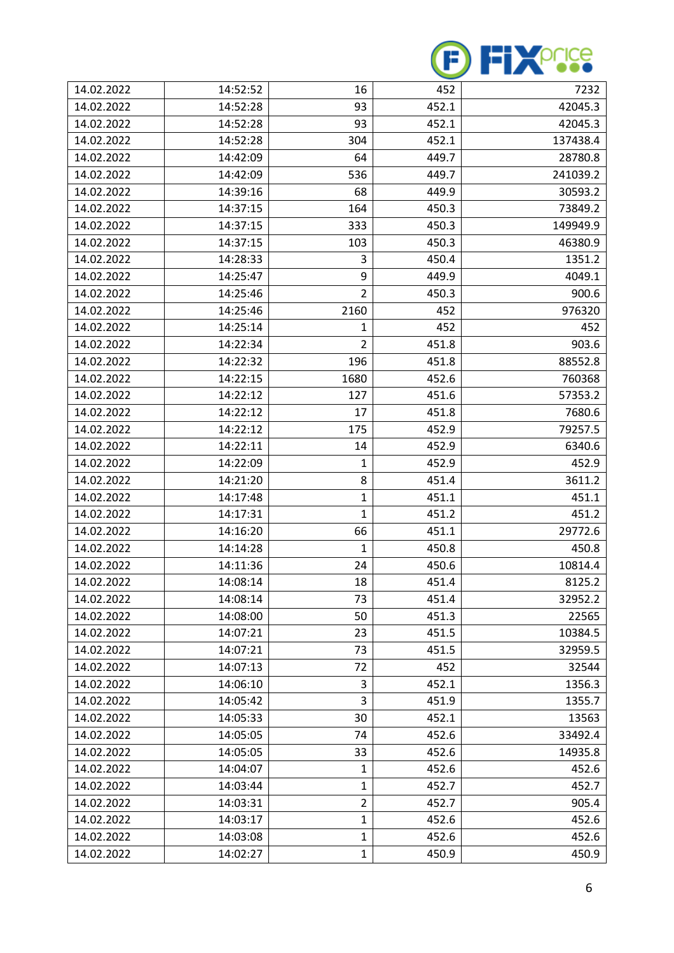

| 14.02.2022 | 14:52:52 | 16             | 452   | 7232     |
|------------|----------|----------------|-------|----------|
| 14.02.2022 | 14:52:28 | 93             | 452.1 | 42045.3  |
| 14.02.2022 | 14:52:28 | 93             | 452.1 | 42045.3  |
| 14.02.2022 | 14:52:28 | 304            | 452.1 | 137438.4 |
| 14.02.2022 | 14:42:09 | 64             | 449.7 | 28780.8  |
| 14.02.2022 | 14:42:09 | 536            | 449.7 | 241039.2 |
| 14.02.2022 | 14:39:16 | 68             | 449.9 | 30593.2  |
| 14.02.2022 | 14:37:15 | 164            | 450.3 | 73849.2  |
| 14.02.2022 | 14:37:15 | 333            | 450.3 | 149949.9 |
| 14.02.2022 | 14:37:15 | 103            | 450.3 | 46380.9  |
| 14.02.2022 | 14:28:33 | 3              | 450.4 | 1351.2   |
| 14.02.2022 | 14:25:47 | 9              | 449.9 | 4049.1   |
| 14.02.2022 | 14:25:46 | $\overline{2}$ | 450.3 | 900.6    |
| 14.02.2022 | 14:25:46 | 2160           | 452   | 976320   |
| 14.02.2022 | 14:25:14 | 1              | 452   | 452      |
| 14.02.2022 | 14:22:34 | $\overline{2}$ | 451.8 | 903.6    |
| 14.02.2022 | 14:22:32 | 196            | 451.8 | 88552.8  |
| 14.02.2022 | 14:22:15 | 1680           | 452.6 | 760368   |
| 14.02.2022 | 14:22:12 | 127            | 451.6 | 57353.2  |
| 14.02.2022 | 14:22:12 | 17             | 451.8 | 7680.6   |
| 14.02.2022 | 14:22:12 | 175            | 452.9 | 79257.5  |
| 14.02.2022 | 14:22:11 | 14             | 452.9 | 6340.6   |
| 14.02.2022 | 14:22:09 | 1              | 452.9 | 452.9    |
| 14.02.2022 | 14:21:20 | 8              | 451.4 | 3611.2   |
| 14.02.2022 | 14:17:48 | 1              | 451.1 | 451.1    |
| 14.02.2022 | 14:17:31 | 1              | 451.2 | 451.2    |
| 14.02.2022 | 14:16:20 | 66             | 451.1 | 29772.6  |
| 14.02.2022 | 14:14:28 | 1              | 450.8 | 450.8    |
| 14.02.2022 | 14:11:36 | 24             | 450.6 | 10814.4  |
| 14.02.2022 | 14:08:14 | 18             | 451.4 | 8125.2   |
| 14.02.2022 | 14:08:14 | 73             | 451.4 | 32952.2  |
| 14.02.2022 | 14:08:00 | 50             | 451.3 | 22565    |
| 14.02.2022 | 14:07:21 | 23             | 451.5 | 10384.5  |
| 14.02.2022 | 14:07:21 | 73             | 451.5 | 32959.5  |
| 14.02.2022 | 14:07:13 | 72             | 452   | 32544    |
| 14.02.2022 | 14:06:10 | 3              | 452.1 | 1356.3   |
| 14.02.2022 | 14:05:42 | 3              | 451.9 | 1355.7   |
| 14.02.2022 | 14:05:33 | 30             | 452.1 | 13563    |
| 14.02.2022 | 14:05:05 | 74             | 452.6 | 33492.4  |
| 14.02.2022 | 14:05:05 | 33             | 452.6 | 14935.8  |
| 14.02.2022 | 14:04:07 | 1              | 452.6 | 452.6    |
| 14.02.2022 | 14:03:44 | $\mathbf{1}$   | 452.7 | 452.7    |
| 14.02.2022 | 14:03:31 | $\overline{2}$ | 452.7 | 905.4    |
| 14.02.2022 | 14:03:17 | $\mathbf{1}$   | 452.6 | 452.6    |
| 14.02.2022 | 14:03:08 | $\mathbf{1}$   | 452.6 | 452.6    |
| 14.02.2022 | 14:02:27 | $\mathbf 1$    | 450.9 | 450.9    |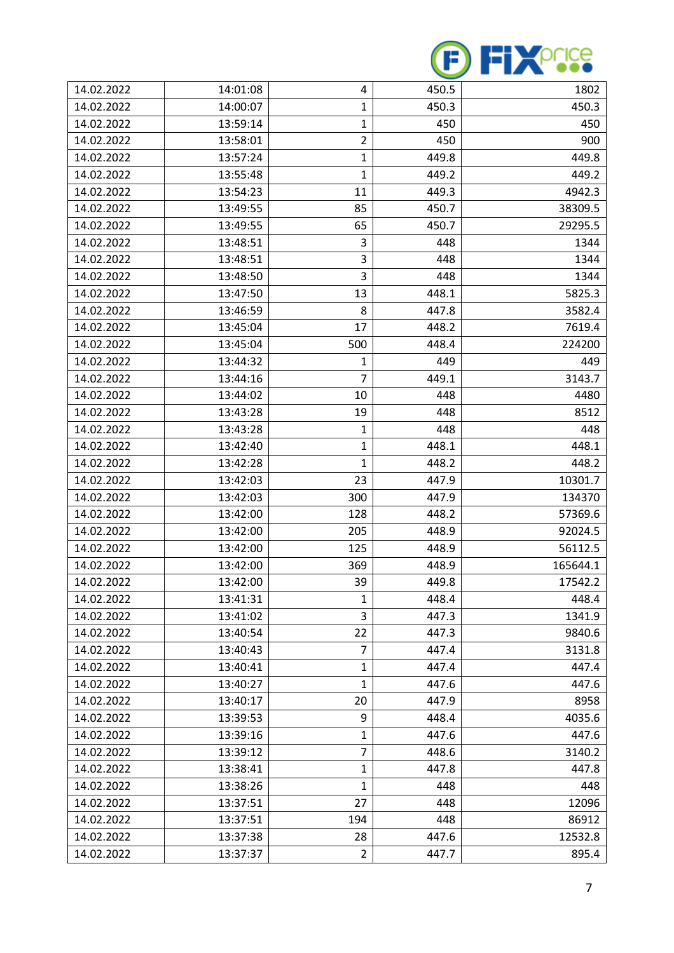

| 14.02.2022 | 14:01:08 | 4              | 450.5 | 1802     |
|------------|----------|----------------|-------|----------|
| 14.02.2022 | 14:00:07 | $\mathbf{1}$   | 450.3 | 450.3    |
| 14.02.2022 | 13:59:14 | $\mathbf{1}$   | 450   | 450      |
| 14.02.2022 | 13:58:01 | $\overline{2}$ | 450   | 900      |
| 14.02.2022 | 13:57:24 | 1              | 449.8 | 449.8    |
| 14.02.2022 | 13:55:48 | $\mathbf{1}$   | 449.2 | 449.2    |
| 14.02.2022 | 13:54:23 | 11             | 449.3 | 4942.3   |
| 14.02.2022 | 13:49:55 | 85             | 450.7 | 38309.5  |
| 14.02.2022 | 13:49:55 | 65             | 450.7 | 29295.5  |
| 14.02.2022 | 13:48:51 | 3              | 448   | 1344     |
| 14.02.2022 | 13:48:51 | 3              | 448   | 1344     |
| 14.02.2022 | 13:48:50 | 3              | 448   | 1344     |
| 14.02.2022 | 13:47:50 | 13             | 448.1 | 5825.3   |
| 14.02.2022 | 13:46:59 | 8              | 447.8 | 3582.4   |
| 14.02.2022 | 13:45:04 | 17             | 448.2 | 7619.4   |
| 14.02.2022 | 13:45:04 | 500            | 448.4 | 224200   |
| 14.02.2022 | 13:44:32 | 1              | 449   | 449      |
| 14.02.2022 | 13:44:16 | $\overline{7}$ | 449.1 | 3143.7   |
| 14.02.2022 | 13:44:02 | 10             | 448   | 4480     |
| 14.02.2022 | 13:43:28 | 19             | 448   | 8512     |
| 14.02.2022 | 13:43:28 | 1              | 448   | 448      |
| 14.02.2022 | 13:42:40 | 1              | 448.1 | 448.1    |
| 14.02.2022 | 13:42:28 | 1              | 448.2 | 448.2    |
| 14.02.2022 | 13:42:03 | 23             | 447.9 | 10301.7  |
| 14.02.2022 | 13:42:03 | 300            | 447.9 | 134370   |
| 14.02.2022 | 13:42:00 | 128            | 448.2 | 57369.6  |
| 14.02.2022 | 13:42:00 | 205            | 448.9 | 92024.5  |
| 14.02.2022 | 13:42:00 | 125            | 448.9 | 56112.5  |
| 14.02.2022 | 13:42:00 | 369            | 448.9 | 165644.1 |
| 14.02.2022 | 13:42:00 | 39             | 449.8 | 17542.2  |
| 14.02.2022 | 13:41:31 | 1              | 448.4 | 448.4    |
| 14.02.2022 | 13:41:02 | 3              | 447.3 | 1341.9   |
| 14.02.2022 | 13:40:54 | 22             | 447.3 | 9840.6   |
| 14.02.2022 | 13:40:43 | $\overline{7}$ | 447.4 | 3131.8   |
| 14.02.2022 | 13:40:41 | 1              | 447.4 | 447.4    |
| 14.02.2022 | 13:40:27 | $\mathbf{1}$   | 447.6 | 447.6    |
| 14.02.2022 | 13:40:17 | 20             | 447.9 | 8958     |
| 14.02.2022 | 13:39:53 | 9              | 448.4 | 4035.6   |
| 14.02.2022 | 13:39:16 | 1              | 447.6 | 447.6    |
| 14.02.2022 | 13:39:12 | $\overline{7}$ | 448.6 | 3140.2   |
| 14.02.2022 | 13:38:41 | $\mathbf{1}$   | 447.8 | 447.8    |
| 14.02.2022 | 13:38:26 | $\mathbf{1}$   | 448   | 448      |
| 14.02.2022 | 13:37:51 | 27             | 448   | 12096    |
| 14.02.2022 | 13:37:51 | 194            | 448   | 86912    |
| 14.02.2022 | 13:37:38 | 28             | 447.6 | 12532.8  |
| 14.02.2022 | 13:37:37 | $\overline{2}$ | 447.7 | 895.4    |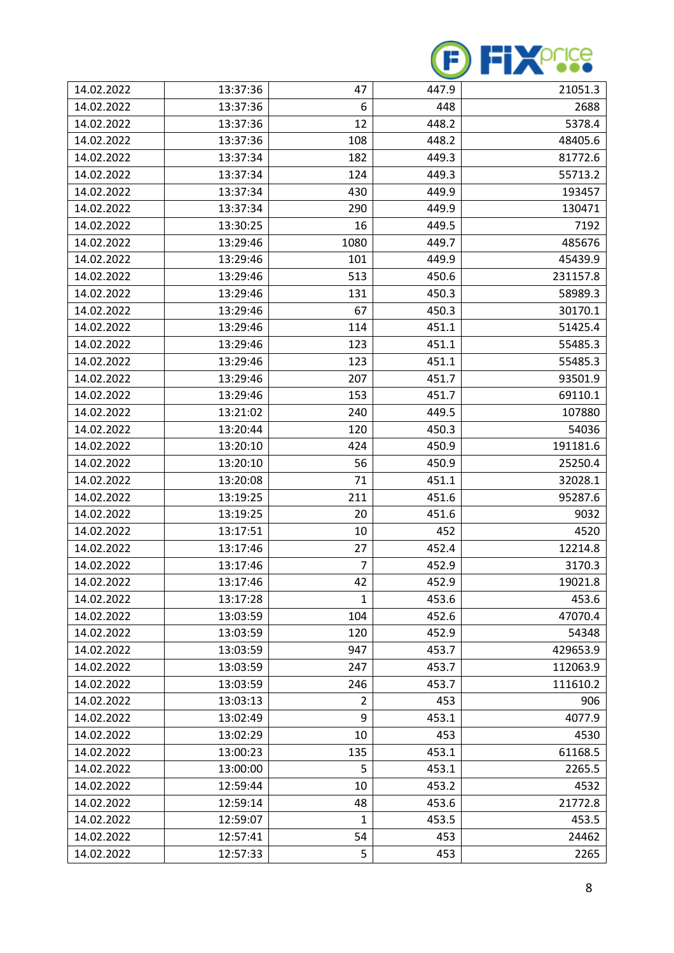

| 14.02.2022 | 13:37:36 | 47             | 447.9 | 21051.3  |
|------------|----------|----------------|-------|----------|
| 14.02.2022 | 13:37:36 | 6              | 448   | 2688     |
| 14.02.2022 | 13:37:36 | 12             | 448.2 | 5378.4   |
| 14.02.2022 | 13:37:36 | 108            | 448.2 | 48405.6  |
| 14.02.2022 | 13:37:34 | 182            | 449.3 | 81772.6  |
| 14.02.2022 | 13:37:34 | 124            | 449.3 | 55713.2  |
| 14.02.2022 | 13:37:34 | 430            | 449.9 | 193457   |
| 14.02.2022 | 13:37:34 | 290            | 449.9 | 130471   |
| 14.02.2022 | 13:30:25 | 16             | 449.5 | 7192     |
| 14.02.2022 | 13:29:46 | 1080           | 449.7 | 485676   |
| 14.02.2022 | 13:29:46 | 101            | 449.9 | 45439.9  |
| 14.02.2022 | 13:29:46 | 513            | 450.6 | 231157.8 |
| 14.02.2022 | 13:29:46 | 131            | 450.3 | 58989.3  |
| 14.02.2022 | 13:29:46 | 67             | 450.3 | 30170.1  |
| 14.02.2022 | 13:29:46 | 114            | 451.1 | 51425.4  |
| 14.02.2022 | 13:29:46 | 123            | 451.1 | 55485.3  |
| 14.02.2022 | 13:29:46 | 123            | 451.1 | 55485.3  |
| 14.02.2022 | 13:29:46 | 207            | 451.7 | 93501.9  |
| 14.02.2022 | 13:29:46 | 153            | 451.7 | 69110.1  |
| 14.02.2022 | 13:21:02 | 240            | 449.5 | 107880   |
| 14.02.2022 | 13:20:44 | 120            | 450.3 | 54036    |
| 14.02.2022 | 13:20:10 | 424            | 450.9 | 191181.6 |
| 14.02.2022 | 13:20:10 | 56             | 450.9 | 25250.4  |
| 14.02.2022 | 13:20:08 | 71             | 451.1 | 32028.1  |
| 14.02.2022 | 13:19:25 | 211            | 451.6 | 95287.6  |
| 14.02.2022 | 13:19:25 | 20             | 451.6 | 9032     |
| 14.02.2022 | 13:17:51 | 10             | 452   | 4520     |
| 14.02.2022 | 13:17:46 | 27             | 452.4 | 12214.8  |
| 14.02.2022 | 13:17:46 | $\overline{7}$ | 452.9 | 3170.3   |
| 14.02.2022 | 13:17:46 | 42             | 452.9 | 19021.8  |
| 14.02.2022 | 13:17:28 | 1              | 453.6 | 453.6    |
| 14.02.2022 | 13:03:59 | 104            | 452.6 | 47070.4  |
| 14.02.2022 | 13:03:59 | 120            | 452.9 | 54348    |
| 14.02.2022 | 13:03:59 | 947            | 453.7 | 429653.9 |
| 14.02.2022 | 13:03:59 | 247            | 453.7 | 112063.9 |
| 14.02.2022 | 13:03:59 | 246            | 453.7 | 111610.2 |
| 14.02.2022 | 13:03:13 | 2              | 453   | 906      |
| 14.02.2022 | 13:02:49 | 9              | 453.1 | 4077.9   |
| 14.02.2022 | 13:02:29 | 10             | 453   | 4530     |
| 14.02.2022 | 13:00:23 | 135            | 453.1 | 61168.5  |
| 14.02.2022 | 13:00:00 | 5              | 453.1 | 2265.5   |
| 14.02.2022 | 12:59:44 | 10             | 453.2 | 4532     |
| 14.02.2022 | 12:59:14 | 48             | 453.6 | 21772.8  |
| 14.02.2022 | 12:59:07 | $\mathbf{1}$   | 453.5 | 453.5    |
| 14.02.2022 | 12:57:41 | 54             | 453   | 24462    |
| 14.02.2022 | 12:57:33 | 5              | 453   | 2265     |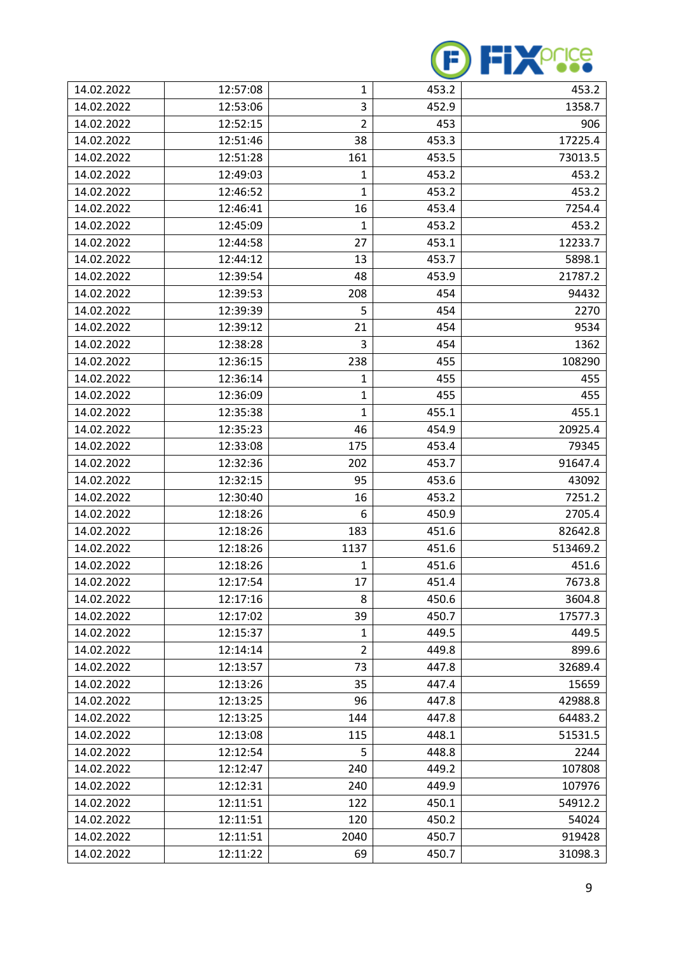

| 14.02.2022 | 12:57:08 | 1              | 453.2 | 453.2    |
|------------|----------|----------------|-------|----------|
| 14.02.2022 | 12:53:06 | 3              | 452.9 | 1358.7   |
| 14.02.2022 | 12:52:15 | $\overline{2}$ | 453   | 906      |
| 14.02.2022 | 12:51:46 | 38             | 453.3 | 17225.4  |
| 14.02.2022 | 12:51:28 | 161            | 453.5 | 73013.5  |
| 14.02.2022 | 12:49:03 | 1              | 453.2 | 453.2    |
| 14.02.2022 | 12:46:52 | 1              | 453.2 | 453.2    |
| 14.02.2022 | 12:46:41 | 16             | 453.4 | 7254.4   |
| 14.02.2022 | 12:45:09 | 1              | 453.2 | 453.2    |
| 14.02.2022 | 12:44:58 | 27             | 453.1 | 12233.7  |
| 14.02.2022 | 12:44:12 | 13             | 453.7 | 5898.1   |
| 14.02.2022 | 12:39:54 | 48             | 453.9 | 21787.2  |
| 14.02.2022 | 12:39:53 | 208            | 454   | 94432    |
| 14.02.2022 | 12:39:39 | 5              | 454   | 2270     |
| 14.02.2022 | 12:39:12 | 21             | 454   | 9534     |
| 14.02.2022 | 12:38:28 | 3              | 454   | 1362     |
| 14.02.2022 | 12:36:15 | 238            | 455   | 108290   |
| 14.02.2022 | 12:36:14 | $\mathbf{1}$   | 455   | 455      |
| 14.02.2022 | 12:36:09 | 1              | 455   | 455      |
| 14.02.2022 | 12:35:38 | $\mathbf{1}$   | 455.1 | 455.1    |
| 14.02.2022 | 12:35:23 | 46             | 454.9 | 20925.4  |
| 14.02.2022 | 12:33:08 | 175            | 453.4 | 79345    |
| 14.02.2022 | 12:32:36 | 202            | 453.7 | 91647.4  |
| 14.02.2022 | 12:32:15 | 95             | 453.6 | 43092    |
| 14.02.2022 | 12:30:40 | 16             | 453.2 | 7251.2   |
| 14.02.2022 | 12:18:26 | 6              | 450.9 | 2705.4   |
| 14.02.2022 | 12:18:26 | 183            | 451.6 | 82642.8  |
| 14.02.2022 | 12:18:26 | 1137           | 451.6 | 513469.2 |
| 14.02.2022 | 12:18:26 | 1              | 451.6 | 451.6    |
| 14.02.2022 | 12:17:54 | 17             | 451.4 | 7673.8   |
| 14.02.2022 | 12:17:16 | 8              | 450.6 | 3604.8   |
| 14.02.2022 | 12:17:02 | 39             | 450.7 | 17577.3  |
| 14.02.2022 | 12:15:37 | 1              | 449.5 | 449.5    |
| 14.02.2022 | 12:14:14 | $\overline{2}$ | 449.8 | 899.6    |
| 14.02.2022 | 12:13:57 | 73             | 447.8 | 32689.4  |
| 14.02.2022 | 12:13:26 | 35             | 447.4 | 15659    |
| 14.02.2022 | 12:13:25 | 96             | 447.8 | 42988.8  |
| 14.02.2022 | 12:13:25 | 144            | 447.8 | 64483.2  |
| 14.02.2022 | 12:13:08 | 115            | 448.1 | 51531.5  |
| 14.02.2022 | 12:12:54 | 5              | 448.8 | 2244     |
| 14.02.2022 | 12:12:47 | 240            | 449.2 | 107808   |
| 14.02.2022 | 12:12:31 | 240            | 449.9 | 107976   |
| 14.02.2022 | 12:11:51 | 122            | 450.1 | 54912.2  |
| 14.02.2022 | 12:11:51 | 120            | 450.2 | 54024    |
| 14.02.2022 | 12:11:51 | 2040           | 450.7 | 919428   |
| 14.02.2022 | 12:11:22 | 69             | 450.7 | 31098.3  |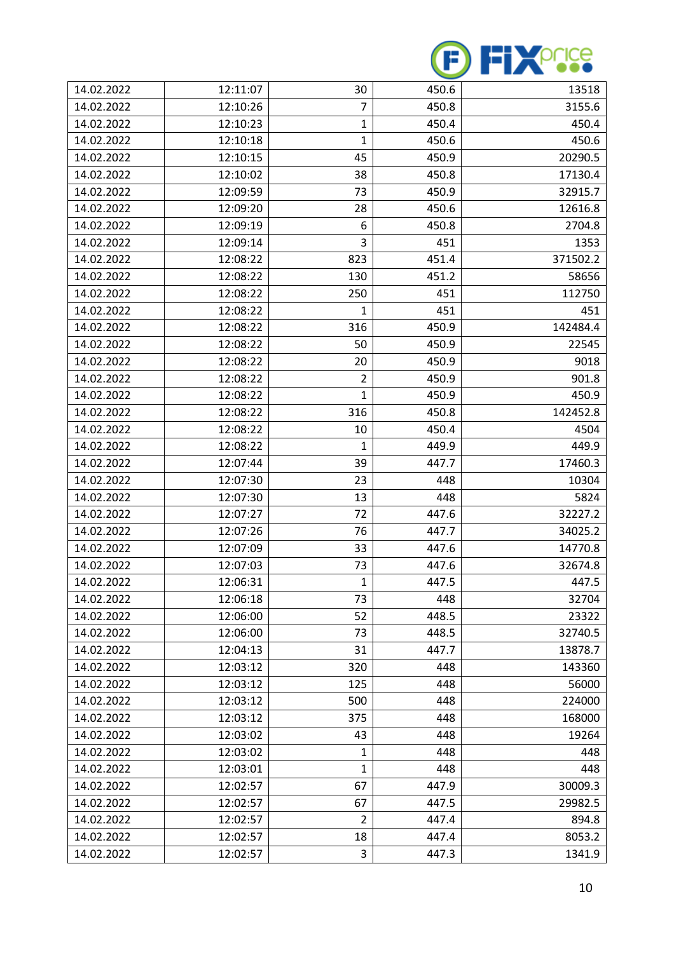

| 14.02.2022 | 12:11:07 | 30             | 450.6 | 13518    |
|------------|----------|----------------|-------|----------|
| 14.02.2022 | 12:10:26 | 7              | 450.8 | 3155.6   |
| 14.02.2022 | 12:10:23 | 1              | 450.4 | 450.4    |
| 14.02.2022 | 12:10:18 | 1              | 450.6 | 450.6    |
| 14.02.2022 | 12:10:15 | 45             | 450.9 | 20290.5  |
| 14.02.2022 | 12:10:02 | 38             | 450.8 | 17130.4  |
| 14.02.2022 | 12:09:59 | 73             | 450.9 | 32915.7  |
| 14.02.2022 | 12:09:20 | 28             | 450.6 | 12616.8  |
| 14.02.2022 | 12:09:19 | 6              | 450.8 | 2704.8   |
| 14.02.2022 | 12:09:14 | 3              | 451   | 1353     |
| 14.02.2022 | 12:08:22 | 823            | 451.4 | 371502.2 |
| 14.02.2022 | 12:08:22 | 130            | 451.2 | 58656    |
| 14.02.2022 | 12:08:22 | 250            | 451   | 112750   |
| 14.02.2022 | 12:08:22 | 1              | 451   | 451      |
| 14.02.2022 | 12:08:22 | 316            | 450.9 | 142484.4 |
| 14.02.2022 | 12:08:22 | 50             | 450.9 | 22545    |
| 14.02.2022 | 12:08:22 | 20             | 450.9 | 9018     |
| 14.02.2022 | 12:08:22 | $\overline{2}$ | 450.9 | 901.8    |
| 14.02.2022 | 12:08:22 | 1              | 450.9 | 450.9    |
| 14.02.2022 | 12:08:22 | 316            | 450.8 | 142452.8 |
| 14.02.2022 | 12:08:22 | 10             | 450.4 | 4504     |
| 14.02.2022 | 12:08:22 | 1              | 449.9 | 449.9    |
| 14.02.2022 | 12:07:44 | 39             | 447.7 | 17460.3  |
| 14.02.2022 | 12:07:30 | 23             | 448   | 10304    |
| 14.02.2022 | 12:07:30 | 13             | 448   | 5824     |
| 14.02.2022 | 12:07:27 | 72             | 447.6 | 32227.2  |
| 14.02.2022 | 12:07:26 | 76             | 447.7 | 34025.2  |
| 14.02.2022 | 12:07:09 | 33             | 447.6 | 14770.8  |
| 14.02.2022 | 12:07:03 | 73             | 447.6 | 32674.8  |
| 14.02.2022 | 12:06:31 | $\mathbf{1}$   | 447.5 | 447.5    |
| 14.02.2022 | 12:06:18 | 73             | 448   | 32704    |
| 14.02.2022 | 12:06:00 | 52             | 448.5 | 23322    |
| 14.02.2022 | 12:06:00 | 73             | 448.5 | 32740.5  |
| 14.02.2022 | 12:04:13 | 31             | 447.7 | 13878.7  |
| 14.02.2022 | 12:03:12 | 320            | 448   | 143360   |
| 14.02.2022 | 12:03:12 | 125            | 448   | 56000    |
| 14.02.2022 | 12:03:12 | 500            | 448   | 224000   |
| 14.02.2022 | 12:03:12 | 375            | 448   | 168000   |
| 14.02.2022 | 12:03:02 | 43             | 448   | 19264    |
| 14.02.2022 | 12:03:02 | $\mathbf{1}$   | 448   | 448      |
| 14.02.2022 | 12:03:01 | $\mathbf{1}$   | 448   | 448      |
| 14.02.2022 | 12:02:57 | 67             | 447.9 | 30009.3  |
| 14.02.2022 | 12:02:57 | 67             | 447.5 | 29982.5  |
| 14.02.2022 | 12:02:57 | $\overline{2}$ | 447.4 | 894.8    |
| 14.02.2022 | 12:02:57 | 18             | 447.4 | 8053.2   |
| 14.02.2022 | 12:02:57 | 3              | 447.3 | 1341.9   |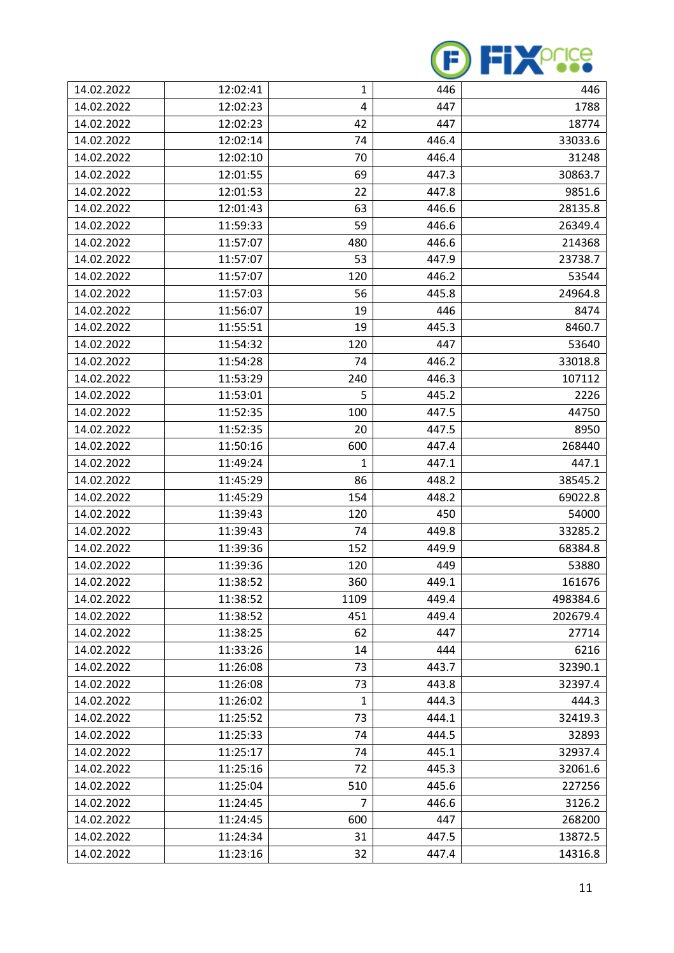

| 14.02.2022 | 12:02:41 | $\mathbf{1}$   | 446   | 446      |
|------------|----------|----------------|-------|----------|
| 14.02.2022 | 12:02:23 | 4              | 447   | 1788     |
| 14.02.2022 | 12:02:23 | 42             | 447   | 18774    |
| 14.02.2022 | 12:02:14 | 74             | 446.4 | 33033.6  |
| 14.02.2022 | 12:02:10 | 70             | 446.4 | 31248    |
| 14.02.2022 | 12:01:55 | 69             | 447.3 | 30863.7  |
| 14.02.2022 | 12:01:53 | 22             | 447.8 | 9851.6   |
| 14.02.2022 | 12:01:43 | 63             | 446.6 | 28135.8  |
| 14.02.2022 | 11:59:33 | 59             | 446.6 | 26349.4  |
| 14.02.2022 | 11:57:07 | 480            | 446.6 | 214368   |
| 14.02.2022 | 11:57:07 | 53             | 447.9 | 23738.7  |
| 14.02.2022 | 11:57:07 | 120            | 446.2 | 53544    |
| 14.02.2022 | 11:57:03 | 56             | 445.8 | 24964.8  |
| 14.02.2022 | 11:56:07 | 19             | 446   | 8474     |
| 14.02.2022 | 11:55:51 | 19             | 445.3 | 8460.7   |
| 14.02.2022 | 11:54:32 | 120            | 447   | 53640    |
| 14.02.2022 | 11:54:28 | 74             | 446.2 | 33018.8  |
| 14.02.2022 | 11:53:29 | 240            | 446.3 | 107112   |
| 14.02.2022 | 11:53:01 | 5              | 445.2 | 2226     |
| 14.02.2022 | 11:52:35 | 100            | 447.5 | 44750    |
| 14.02.2022 | 11:52:35 | 20             | 447.5 | 8950     |
| 14.02.2022 | 11:50:16 | 600            | 447.4 | 268440   |
| 14.02.2022 | 11:49:24 | 1              | 447.1 | 447.1    |
| 14.02.2022 | 11:45:29 | 86             | 448.2 | 38545.2  |
| 14.02.2022 | 11:45:29 | 154            | 448.2 | 69022.8  |
| 14.02.2022 | 11:39:43 | 120            | 450   | 54000    |
| 14.02.2022 | 11:39:43 | 74             | 449.8 | 33285.2  |
| 14.02.2022 | 11:39:36 | 152            | 449.9 | 68384.8  |
| 14.02.2022 | 11:39:36 | 120            | 449   | 53880    |
| 14.02.2022 | 11:38:52 | 360            | 449.1 | 161676   |
| 14.02.2022 | 11:38:52 | 1109           | 449.4 | 498384.6 |
| 14.02.2022 | 11:38:52 | 451            | 449.4 | 202679.4 |
| 14.02.2022 | 11:38:25 | 62             | 447   | 27714    |
| 14.02.2022 | 11:33:26 | 14             | 444   | 6216     |
| 14.02.2022 | 11:26:08 | 73             | 443.7 | 32390.1  |
| 14.02.2022 | 11:26:08 | 73             | 443.8 | 32397.4  |
| 14.02.2022 | 11:26:02 | $\mathbf{1}$   | 444.3 | 444.3    |
| 14.02.2022 | 11:25:52 | 73             | 444.1 | 32419.3  |
| 14.02.2022 | 11:25:33 | 74             | 444.5 | 32893    |
| 14.02.2022 | 11:25:17 | 74             | 445.1 | 32937.4  |
| 14.02.2022 | 11:25:16 | 72             | 445.3 | 32061.6  |
| 14.02.2022 | 11:25:04 | 510            | 445.6 | 227256   |
| 14.02.2022 | 11:24:45 | $\overline{7}$ | 446.6 | 3126.2   |
| 14.02.2022 | 11:24:45 | 600            | 447   | 268200   |
| 14.02.2022 | 11:24:34 | 31             | 447.5 | 13872.5  |
| 14.02.2022 | 11:23:16 | 32             | 447.4 | 14316.8  |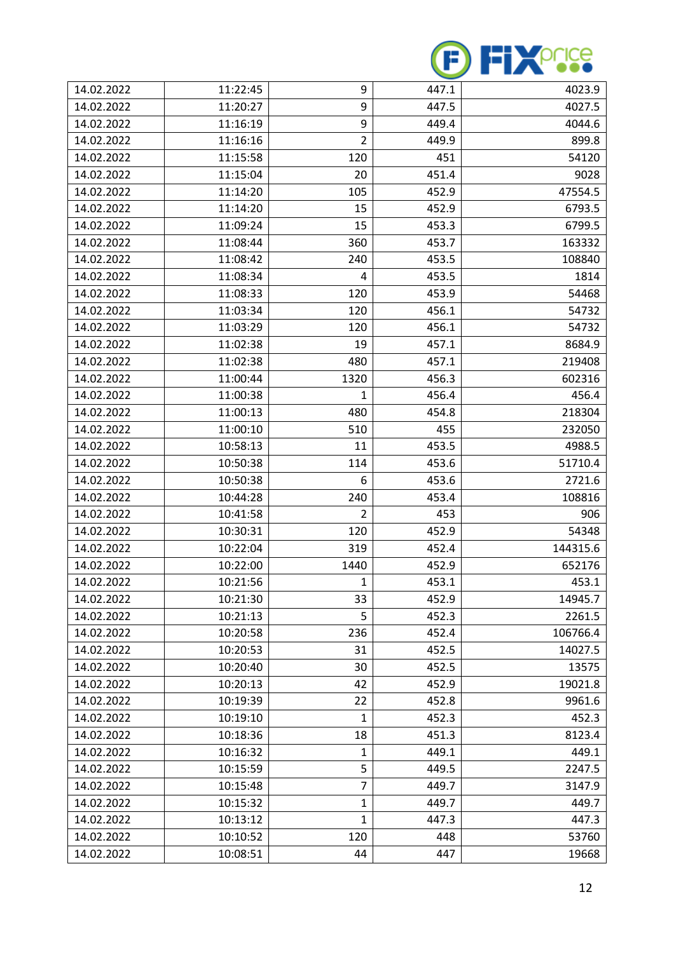

| 14.02.2022 | 11:22:45 | 9              | 447.1 | 4023.9   |
|------------|----------|----------------|-------|----------|
| 14.02.2022 | 11:20:27 | 9              | 447.5 | 4027.5   |
| 14.02.2022 | 11:16:19 | 9              | 449.4 | 4044.6   |
| 14.02.2022 | 11:16:16 | $\overline{2}$ | 449.9 | 899.8    |
| 14.02.2022 | 11:15:58 | 120            | 451   | 54120    |
| 14.02.2022 | 11:15:04 | 20             | 451.4 | 9028     |
| 14.02.2022 | 11:14:20 | 105            | 452.9 | 47554.5  |
| 14.02.2022 | 11:14:20 | 15             | 452.9 | 6793.5   |
| 14.02.2022 | 11:09:24 | 15             | 453.3 | 6799.5   |
| 14.02.2022 | 11:08:44 | 360            | 453.7 | 163332   |
| 14.02.2022 | 11:08:42 | 240            | 453.5 | 108840   |
| 14.02.2022 | 11:08:34 | 4              | 453.5 | 1814     |
| 14.02.2022 | 11:08:33 | 120            | 453.9 | 54468    |
| 14.02.2022 | 11:03:34 | 120            | 456.1 | 54732    |
| 14.02.2022 | 11:03:29 | 120            | 456.1 | 54732    |
| 14.02.2022 | 11:02:38 | 19             | 457.1 | 8684.9   |
| 14.02.2022 | 11:02:38 | 480            | 457.1 | 219408   |
| 14.02.2022 | 11:00:44 | 1320           | 456.3 | 602316   |
| 14.02.2022 | 11:00:38 | 1              | 456.4 | 456.4    |
| 14.02.2022 | 11:00:13 | 480            | 454.8 | 218304   |
| 14.02.2022 | 11:00:10 | 510            | 455   | 232050   |
| 14.02.2022 | 10:58:13 | 11             | 453.5 | 4988.5   |
| 14.02.2022 | 10:50:38 | 114            | 453.6 | 51710.4  |
| 14.02.2022 | 10:50:38 | 6              | 453.6 | 2721.6   |
| 14.02.2022 | 10:44:28 | 240            | 453.4 | 108816   |
| 14.02.2022 | 10:41:58 | $\overline{2}$ | 453   | 906      |
| 14.02.2022 | 10:30:31 | 120            | 452.9 | 54348    |
| 14.02.2022 | 10:22:04 | 319            | 452.4 | 144315.6 |
| 14.02.2022 | 10:22:00 | 1440           | 452.9 | 652176   |
| 14.02.2022 | 10:21:56 | 1              | 453.1 | 453.1    |
| 14.02.2022 | 10:21:30 | 33             | 452.9 | 14945.7  |
| 14.02.2022 | 10:21:13 | 5              | 452.3 | 2261.5   |
| 14.02.2022 | 10:20:58 | 236            | 452.4 | 106766.4 |
| 14.02.2022 | 10:20:53 | 31             | 452.5 | 14027.5  |
| 14.02.2022 | 10:20:40 | 30             | 452.5 | 13575    |
| 14.02.2022 | 10:20:13 | 42             | 452.9 | 19021.8  |
| 14.02.2022 | 10:19:39 | 22             | 452.8 | 9961.6   |
| 14.02.2022 | 10:19:10 | $\mathbf{1}$   | 452.3 | 452.3    |
| 14.02.2022 | 10:18:36 | 18             | 451.3 | 8123.4   |
| 14.02.2022 | 10:16:32 | 1              | 449.1 | 449.1    |
| 14.02.2022 | 10:15:59 | 5              | 449.5 | 2247.5   |
| 14.02.2022 | 10:15:48 | $\overline{7}$ | 449.7 | 3147.9   |
| 14.02.2022 | 10:15:32 | 1              | 449.7 | 449.7    |
| 14.02.2022 | 10:13:12 | $\mathbf{1}$   | 447.3 | 447.3    |
| 14.02.2022 | 10:10:52 | 120            | 448   | 53760    |
| 14.02.2022 | 10:08:51 | 44             | 447   | 19668    |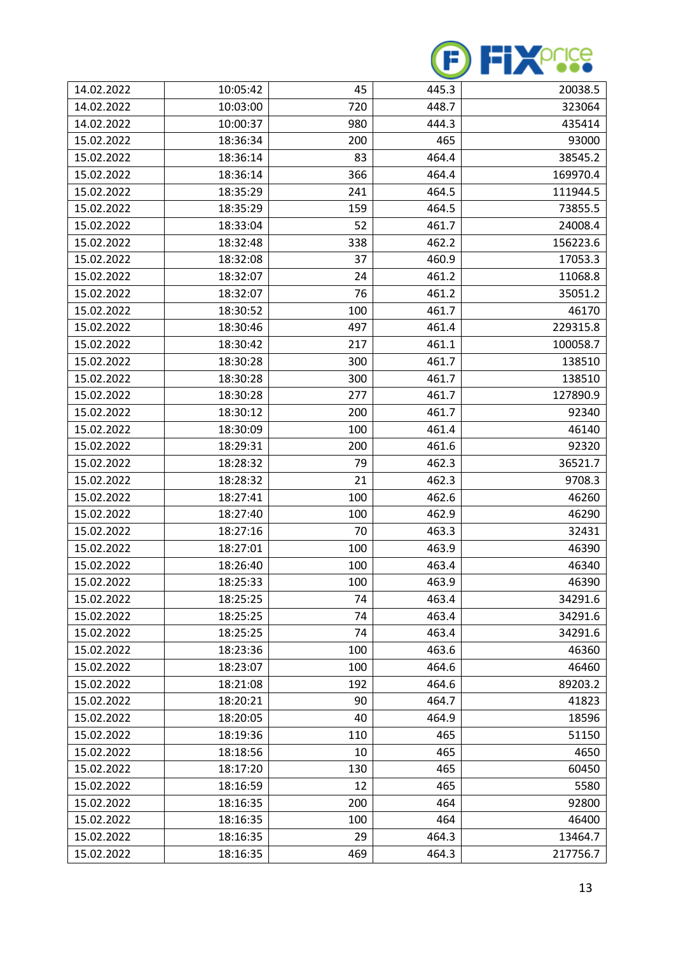

| 14.02.2022 | 10:05:42 | 45  | 445.3 | 20038.5  |
|------------|----------|-----|-------|----------|
| 14.02.2022 | 10:03:00 | 720 | 448.7 | 323064   |
| 14.02.2022 | 10:00:37 | 980 | 444.3 | 435414   |
| 15.02.2022 | 18:36:34 | 200 | 465   | 93000    |
| 15.02.2022 | 18:36:14 | 83  | 464.4 | 38545.2  |
| 15.02.2022 | 18:36:14 | 366 | 464.4 | 169970.4 |
| 15.02.2022 | 18:35:29 | 241 | 464.5 | 111944.5 |
| 15.02.2022 | 18:35:29 | 159 | 464.5 | 73855.5  |
| 15.02.2022 | 18:33:04 | 52  | 461.7 | 24008.4  |
| 15.02.2022 | 18:32:48 | 338 | 462.2 | 156223.6 |
| 15.02.2022 | 18:32:08 | 37  | 460.9 | 17053.3  |
| 15.02.2022 | 18:32:07 | 24  | 461.2 | 11068.8  |
| 15.02.2022 | 18:32:07 | 76  | 461.2 | 35051.2  |
| 15.02.2022 | 18:30:52 | 100 | 461.7 | 46170    |
| 15.02.2022 | 18:30:46 | 497 | 461.4 | 229315.8 |
| 15.02.2022 | 18:30:42 | 217 | 461.1 | 100058.7 |
| 15.02.2022 | 18:30:28 | 300 | 461.7 | 138510   |
| 15.02.2022 | 18:30:28 | 300 | 461.7 | 138510   |
| 15.02.2022 | 18:30:28 | 277 | 461.7 | 127890.9 |
| 15.02.2022 | 18:30:12 | 200 | 461.7 | 92340    |
| 15.02.2022 | 18:30:09 | 100 | 461.4 | 46140    |
| 15.02.2022 | 18:29:31 | 200 | 461.6 | 92320    |
| 15.02.2022 | 18:28:32 | 79  | 462.3 | 36521.7  |
| 15.02.2022 | 18:28:32 | 21  | 462.3 | 9708.3   |
| 15.02.2022 | 18:27:41 | 100 | 462.6 | 46260    |
| 15.02.2022 | 18:27:40 | 100 | 462.9 | 46290    |
| 15.02.2022 | 18:27:16 | 70  | 463.3 | 32431    |
| 15.02.2022 | 18:27:01 | 100 | 463.9 | 46390    |
| 15.02.2022 | 18:26:40 | 100 | 463.4 | 46340    |
| 15.02.2022 | 18:25:33 | 100 | 463.9 | 46390    |
| 15.02.2022 | 18:25:25 | 74  | 463.4 | 34291.6  |
| 15.02.2022 | 18:25:25 | 74  | 463.4 | 34291.6  |
| 15.02.2022 | 18:25:25 | 74  | 463.4 | 34291.6  |
| 15.02.2022 | 18:23:36 | 100 | 463.6 | 46360    |
| 15.02.2022 | 18:23:07 | 100 | 464.6 | 46460    |
| 15.02.2022 | 18:21:08 | 192 | 464.6 | 89203.2  |
| 15.02.2022 | 18:20:21 | 90  | 464.7 | 41823    |
| 15.02.2022 | 18:20:05 | 40  | 464.9 | 18596    |
| 15.02.2022 | 18:19:36 | 110 | 465   | 51150    |
| 15.02.2022 | 18:18:56 | 10  | 465   | 4650     |
| 15.02.2022 | 18:17:20 | 130 | 465   | 60450    |
| 15.02.2022 | 18:16:59 | 12  | 465   | 5580     |
| 15.02.2022 | 18:16:35 | 200 | 464   | 92800    |
| 15.02.2022 | 18:16:35 | 100 | 464   | 46400    |
| 15.02.2022 | 18:16:35 | 29  | 464.3 | 13464.7  |
| 15.02.2022 | 18:16:35 | 469 | 464.3 | 217756.7 |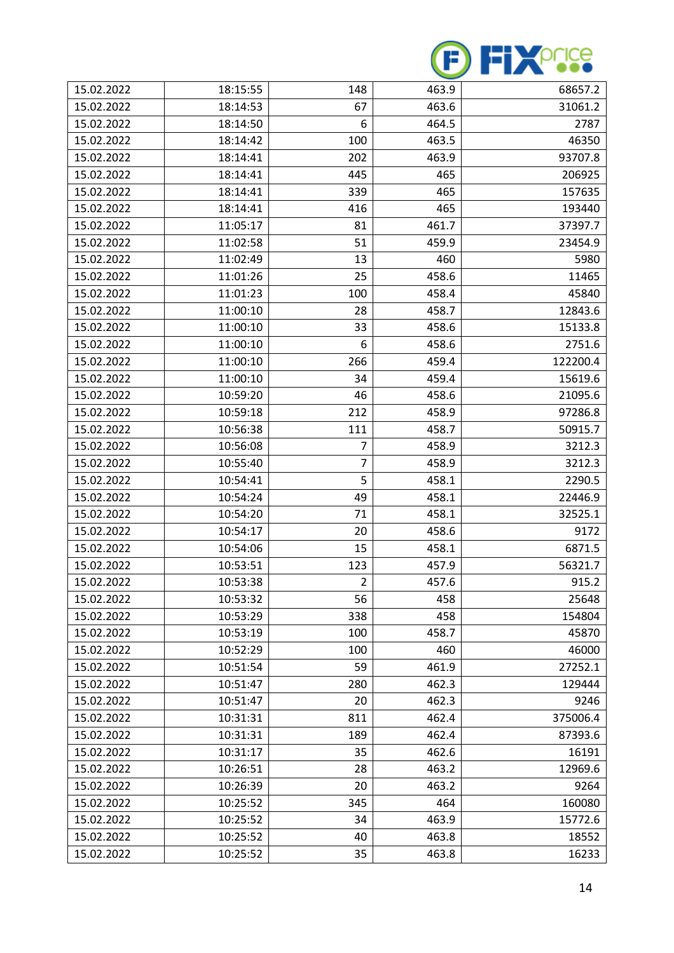

| 15.02.2022 | 18:15:55 | 148            | 463.9 | 68657.2  |
|------------|----------|----------------|-------|----------|
| 15.02.2022 | 18:14:53 | 67             | 463.6 | 31061.2  |
| 15.02.2022 | 18:14:50 | 6              | 464.5 | 2787     |
| 15.02.2022 | 18:14:42 | 100            | 463.5 | 46350    |
| 15.02.2022 | 18:14:41 | 202            | 463.9 | 93707.8  |
| 15.02.2022 | 18:14:41 | 445            | 465   | 206925   |
| 15.02.2022 | 18:14:41 | 339            | 465   | 157635   |
| 15.02.2022 | 18:14:41 | 416            | 465   | 193440   |
| 15.02.2022 | 11:05:17 | 81             | 461.7 | 37397.7  |
| 15.02.2022 | 11:02:58 | 51             | 459.9 | 23454.9  |
| 15.02.2022 | 11:02:49 | 13             | 460   | 5980     |
| 15.02.2022 | 11:01:26 | 25             | 458.6 | 11465    |
| 15.02.2022 | 11:01:23 | 100            | 458.4 | 45840    |
| 15.02.2022 | 11:00:10 | 28             | 458.7 | 12843.6  |
| 15.02.2022 | 11:00:10 | 33             | 458.6 | 15133.8  |
| 15.02.2022 | 11:00:10 | 6              | 458.6 | 2751.6   |
| 15.02.2022 | 11:00:10 | 266            | 459.4 | 122200.4 |
| 15.02.2022 | 11:00:10 | 34             | 459.4 | 15619.6  |
| 15.02.2022 | 10:59:20 | 46             | 458.6 | 21095.6  |
| 15.02.2022 | 10:59:18 | 212            | 458.9 | 97286.8  |
| 15.02.2022 | 10:56:38 | 111            | 458.7 | 50915.7  |
| 15.02.2022 | 10:56:08 | $\overline{7}$ | 458.9 | 3212.3   |
| 15.02.2022 | 10:55:40 | 7              | 458.9 | 3212.3   |
| 15.02.2022 | 10:54:41 | 5              | 458.1 | 2290.5   |
| 15.02.2022 | 10:54:24 | 49             | 458.1 | 22446.9  |
| 15.02.2022 | 10:54:20 | 71             | 458.1 | 32525.1  |
| 15.02.2022 | 10:54:17 | 20             | 458.6 | 9172     |
| 15.02.2022 | 10:54:06 | 15             | 458.1 | 6871.5   |
| 15.02.2022 | 10:53:51 | 123            | 457.9 | 56321.7  |
| 15.02.2022 | 10:53:38 | $\overline{2}$ | 457.6 | 915.2    |
| 15.02.2022 | 10:53:32 | 56             | 458   | 25648    |
| 15.02.2022 | 10:53:29 | 338            | 458   | 154804   |
| 15.02.2022 | 10:53:19 | 100            | 458.7 | 45870    |
| 15.02.2022 | 10:52:29 | 100            | 460   | 46000    |
| 15.02.2022 | 10:51:54 | 59             | 461.9 | 27252.1  |
| 15.02.2022 | 10:51:47 | 280            | 462.3 | 129444   |
| 15.02.2022 | 10:51:47 | 20             | 462.3 | 9246     |
| 15.02.2022 | 10:31:31 | 811            | 462.4 | 375006.4 |
| 15.02.2022 | 10:31:31 | 189            | 462.4 | 87393.6  |
| 15.02.2022 | 10:31:17 | 35             | 462.6 | 16191    |
| 15.02.2022 | 10:26:51 | 28             | 463.2 | 12969.6  |
| 15.02.2022 | 10:26:39 | 20             | 463.2 | 9264     |
| 15.02.2022 | 10:25:52 | 345            | 464   | 160080   |
| 15.02.2022 | 10:25:52 | 34             | 463.9 | 15772.6  |
| 15.02.2022 | 10:25:52 | 40             | 463.8 | 18552    |
| 15.02.2022 | 10:25:52 | 35             | 463.8 | 16233    |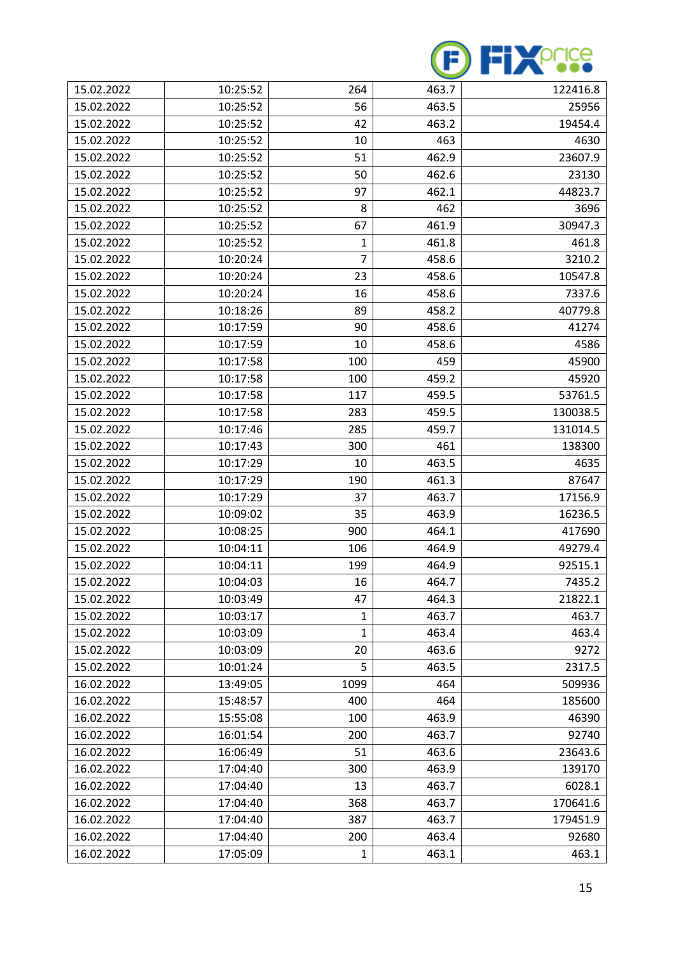

| 15.02.2022 | 10:25:52 | 264          | 463.7 | 122416.8 |
|------------|----------|--------------|-------|----------|
| 15.02.2022 | 10:25:52 | 56           | 463.5 | 25956    |
| 15.02.2022 | 10:25:52 | 42           | 463.2 | 19454.4  |
| 15.02.2022 | 10:25:52 | 10           | 463   | 4630     |
| 15.02.2022 | 10:25:52 | 51           | 462.9 | 23607.9  |
| 15.02.2022 | 10:25:52 | 50           | 462.6 | 23130    |
| 15.02.2022 | 10:25:52 | 97           | 462.1 | 44823.7  |
| 15.02.2022 | 10:25:52 | 8            | 462   | 3696     |
| 15.02.2022 | 10:25:52 | 67           | 461.9 | 30947.3  |
| 15.02.2022 | 10:25:52 | 1            | 461.8 | 461.8    |
| 15.02.2022 | 10:20:24 | 7            | 458.6 | 3210.2   |
| 15.02.2022 | 10:20:24 | 23           | 458.6 | 10547.8  |
| 15.02.2022 | 10:20:24 | 16           | 458.6 | 7337.6   |
| 15.02.2022 | 10:18:26 | 89           | 458.2 | 40779.8  |
| 15.02.2022 | 10:17:59 | 90           | 458.6 | 41274    |
| 15.02.2022 | 10:17:59 | 10           | 458.6 | 4586     |
| 15.02.2022 | 10:17:58 | 100          | 459   | 45900    |
| 15.02.2022 | 10:17:58 | 100          | 459.2 | 45920    |
| 15.02.2022 | 10:17:58 | 117          | 459.5 | 53761.5  |
| 15.02.2022 | 10:17:58 | 283          | 459.5 | 130038.5 |
| 15.02.2022 | 10:17:46 | 285          | 459.7 | 131014.5 |
| 15.02.2022 | 10:17:43 | 300          | 461   | 138300   |
| 15.02.2022 | 10:17:29 | 10           | 463.5 | 4635     |
| 15.02.2022 | 10:17:29 | 190          | 461.3 | 87647    |
| 15.02.2022 | 10:17:29 | 37           | 463.7 | 17156.9  |
| 15.02.2022 | 10:09:02 | 35           | 463.9 | 16236.5  |
| 15.02.2022 | 10:08:25 | 900          | 464.1 | 417690   |
| 15.02.2022 | 10:04:11 | 106          | 464.9 | 49279.4  |
| 15.02.2022 | 10:04:11 | 199          | 464.9 | 92515.1  |
| 15.02.2022 | 10:04:03 | 16           | 464.7 | 7435.2   |
| 15.02.2022 | 10:03:49 | 47           | 464.3 | 21822.1  |
| 15.02.2022 | 10:03:17 | $\mathbf{1}$ | 463.7 | 463.7    |
| 15.02.2022 | 10:03:09 | 1            | 463.4 | 463.4    |
| 15.02.2022 | 10:03:09 | 20           | 463.6 | 9272     |
| 15.02.2022 | 10:01:24 | 5            | 463.5 | 2317.5   |
| 16.02.2022 | 13:49:05 | 1099         | 464   | 509936   |
| 16.02.2022 | 15:48:57 | 400          | 464   | 185600   |
| 16.02.2022 | 15:55:08 | 100          | 463.9 | 46390    |
| 16.02.2022 | 16:01:54 | 200          | 463.7 | 92740    |
| 16.02.2022 | 16:06:49 | 51           | 463.6 | 23643.6  |
| 16.02.2022 | 17:04:40 | 300          | 463.9 | 139170   |
| 16.02.2022 | 17:04:40 | 13           | 463.7 | 6028.1   |
| 16.02.2022 | 17:04:40 | 368          | 463.7 | 170641.6 |
| 16.02.2022 | 17:04:40 | 387          | 463.7 | 179451.9 |
| 16.02.2022 | 17:04:40 | 200          | 463.4 | 92680    |
| 16.02.2022 | 17:05:09 | $\mathbf{1}$ | 463.1 | 463.1    |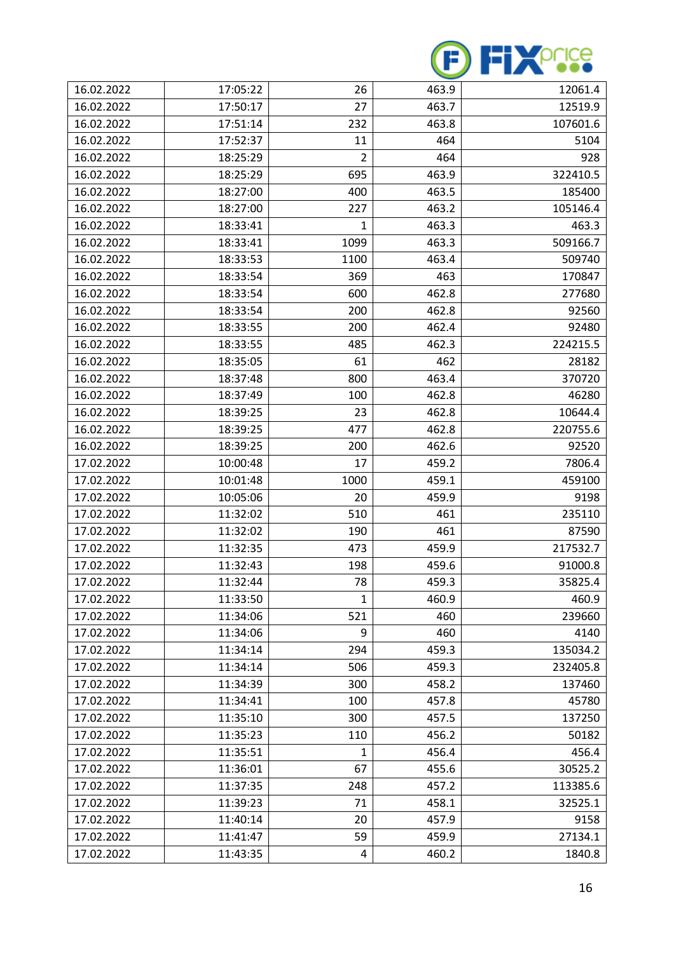

| 16.02.2022 | 17:05:22 | 26             | 463.9 | 12061.4  |
|------------|----------|----------------|-------|----------|
| 16.02.2022 | 17:50:17 | 27             | 463.7 | 12519.9  |
| 16.02.2022 | 17:51:14 | 232            | 463.8 | 107601.6 |
| 16.02.2022 | 17:52:37 | 11             | 464   | 5104     |
| 16.02.2022 | 18:25:29 | $\overline{2}$ | 464   | 928      |
| 16.02.2022 | 18:25:29 | 695            | 463.9 | 322410.5 |
| 16.02.2022 | 18:27:00 | 400            | 463.5 | 185400   |
| 16.02.2022 | 18:27:00 | 227            | 463.2 | 105146.4 |
| 16.02.2022 | 18:33:41 | 1              | 463.3 | 463.3    |
| 16.02.2022 | 18:33:41 | 1099           | 463.3 | 509166.7 |
| 16.02.2022 | 18:33:53 | 1100           | 463.4 | 509740   |
| 16.02.2022 | 18:33:54 | 369            | 463   | 170847   |
| 16.02.2022 | 18:33:54 | 600            | 462.8 | 277680   |
| 16.02.2022 | 18:33:54 | 200            | 462.8 | 92560    |
| 16.02.2022 | 18:33:55 | 200            | 462.4 | 92480    |
| 16.02.2022 | 18:33:55 | 485            | 462.3 | 224215.5 |
| 16.02.2022 | 18:35:05 | 61             | 462   | 28182    |
| 16.02.2022 | 18:37:48 | 800            | 463.4 | 370720   |
| 16.02.2022 | 18:37:49 | 100            | 462.8 | 46280    |
| 16.02.2022 | 18:39:25 | 23             | 462.8 | 10644.4  |
| 16.02.2022 | 18:39:25 | 477            | 462.8 | 220755.6 |
| 16.02.2022 | 18:39:25 | 200            | 462.6 | 92520    |
| 17.02.2022 | 10:00:48 | 17             | 459.2 | 7806.4   |
| 17.02.2022 | 10:01:48 | 1000           | 459.1 | 459100   |
| 17.02.2022 | 10:05:06 | 20             | 459.9 | 9198     |
| 17.02.2022 | 11:32:02 | 510            | 461   | 235110   |
| 17.02.2022 | 11:32:02 | 190            | 461   | 87590    |
| 17.02.2022 | 11:32:35 | 473            | 459.9 | 217532.7 |
| 17.02.2022 | 11:32:43 | 198            | 459.6 | 91000.8  |
| 17.02.2022 | 11:32:44 | 78             | 459.3 | 35825.4  |
| 17.02.2022 | 11:33:50 | 1              | 460.9 | 460.9    |
| 17.02.2022 | 11:34:06 | 521            | 460   | 239660   |
| 17.02.2022 | 11:34:06 | 9              | 460   | 4140     |
| 17.02.2022 | 11:34:14 | 294            | 459.3 | 135034.2 |
| 17.02.2022 | 11:34:14 | 506            | 459.3 | 232405.8 |
| 17.02.2022 | 11:34:39 | 300            | 458.2 | 137460   |
| 17.02.2022 | 11:34:41 | 100            | 457.8 | 45780    |
| 17.02.2022 | 11:35:10 | 300            | 457.5 | 137250   |
| 17.02.2022 | 11:35:23 | 110            | 456.2 | 50182    |
| 17.02.2022 | 11:35:51 | 1              | 456.4 | 456.4    |
| 17.02.2022 | 11:36:01 | 67             | 455.6 | 30525.2  |
| 17.02.2022 | 11:37:35 | 248            | 457.2 | 113385.6 |
| 17.02.2022 | 11:39:23 | 71             | 458.1 | 32525.1  |
| 17.02.2022 | 11:40:14 | 20             | 457.9 | 9158     |
| 17.02.2022 | 11:41:47 | 59             | 459.9 | 27134.1  |
| 17.02.2022 | 11:43:35 | 4              | 460.2 | 1840.8   |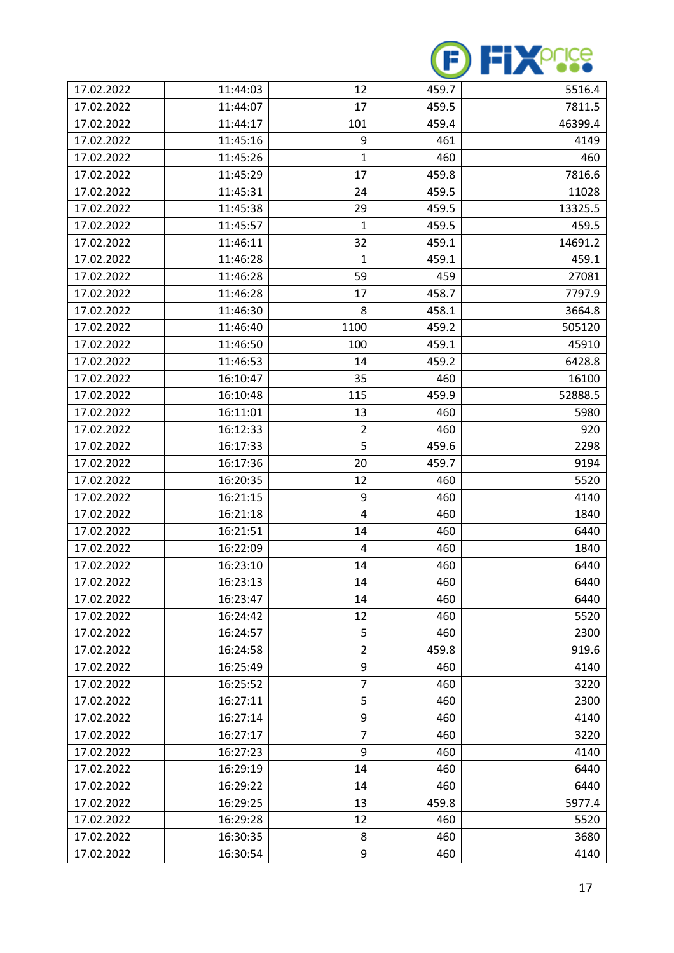

| 17.02.2022 | 11:44:03 | 12             | 459.7 | 5516.4  |
|------------|----------|----------------|-------|---------|
| 17.02.2022 | 11:44:07 | 17             | 459.5 | 7811.5  |
| 17.02.2022 | 11:44:17 | 101            | 459.4 | 46399.4 |
| 17.02.2022 | 11:45:16 | 9              | 461   | 4149    |
| 17.02.2022 | 11:45:26 | 1              | 460   | 460     |
| 17.02.2022 | 11:45:29 | 17             | 459.8 | 7816.6  |
| 17.02.2022 | 11:45:31 | 24             | 459.5 | 11028   |
| 17.02.2022 | 11:45:38 | 29             | 459.5 | 13325.5 |
| 17.02.2022 | 11:45:57 | 1              | 459.5 | 459.5   |
| 17.02.2022 | 11:46:11 | 32             | 459.1 | 14691.2 |
| 17.02.2022 | 11:46:28 | 1              | 459.1 | 459.1   |
| 17.02.2022 | 11:46:28 | 59             | 459   | 27081   |
| 17.02.2022 | 11:46:28 | 17             | 458.7 | 7797.9  |
| 17.02.2022 | 11:46:30 | 8              | 458.1 | 3664.8  |
| 17.02.2022 | 11:46:40 | 1100           | 459.2 | 505120  |
| 17.02.2022 | 11:46:50 | 100            | 459.1 | 45910   |
| 17.02.2022 | 11:46:53 | 14             | 459.2 | 6428.8  |
| 17.02.2022 | 16:10:47 | 35             | 460   | 16100   |
| 17.02.2022 | 16:10:48 | 115            | 459.9 | 52888.5 |
| 17.02.2022 | 16:11:01 | 13             | 460   | 5980    |
| 17.02.2022 | 16:12:33 | $\overline{2}$ | 460   | 920     |
| 17.02.2022 | 16:17:33 | 5              | 459.6 | 2298    |
| 17.02.2022 | 16:17:36 | 20             | 459.7 | 9194    |
| 17.02.2022 | 16:20:35 | 12             | 460   | 5520    |
| 17.02.2022 | 16:21:15 | 9              | 460   | 4140    |
| 17.02.2022 | 16:21:18 | 4              | 460   | 1840    |
| 17.02.2022 | 16:21:51 | 14             | 460   | 6440    |
| 17.02.2022 | 16:22:09 | 4              | 460   | 1840    |
| 17.02.2022 | 16:23:10 | 14             | 460   | 6440    |
| 17.02.2022 | 16:23:13 | 14             | 460   | 6440    |
| 17.02.2022 | 16:23:47 | 14             | 460   | 6440    |
| 17.02.2022 | 16:24:42 | 12             | 460   | 5520    |
| 17.02.2022 | 16:24:57 | 5              | 460   | 2300    |
| 17.02.2022 | 16:24:58 | $\overline{2}$ | 459.8 | 919.6   |
| 17.02.2022 | 16:25:49 | 9              | 460   | 4140    |
| 17.02.2022 | 16:25:52 | 7              | 460   | 3220    |
| 17.02.2022 | 16:27:11 | 5              | 460   | 2300    |
| 17.02.2022 | 16:27:14 | 9              | 460   | 4140    |
| 17.02.2022 | 16:27:17 | $\overline{7}$ | 460   | 3220    |
| 17.02.2022 | 16:27:23 | 9              | 460   | 4140    |
| 17.02.2022 | 16:29:19 | 14             | 460   | 6440    |
| 17.02.2022 | 16:29:22 | 14             | 460   | 6440    |
| 17.02.2022 | 16:29:25 | 13             | 459.8 | 5977.4  |
| 17.02.2022 | 16:29:28 | 12             | 460   | 5520    |
| 17.02.2022 | 16:30:35 | 8              | 460   | 3680    |
| 17.02.2022 | 16:30:54 | 9              | 460   | 4140    |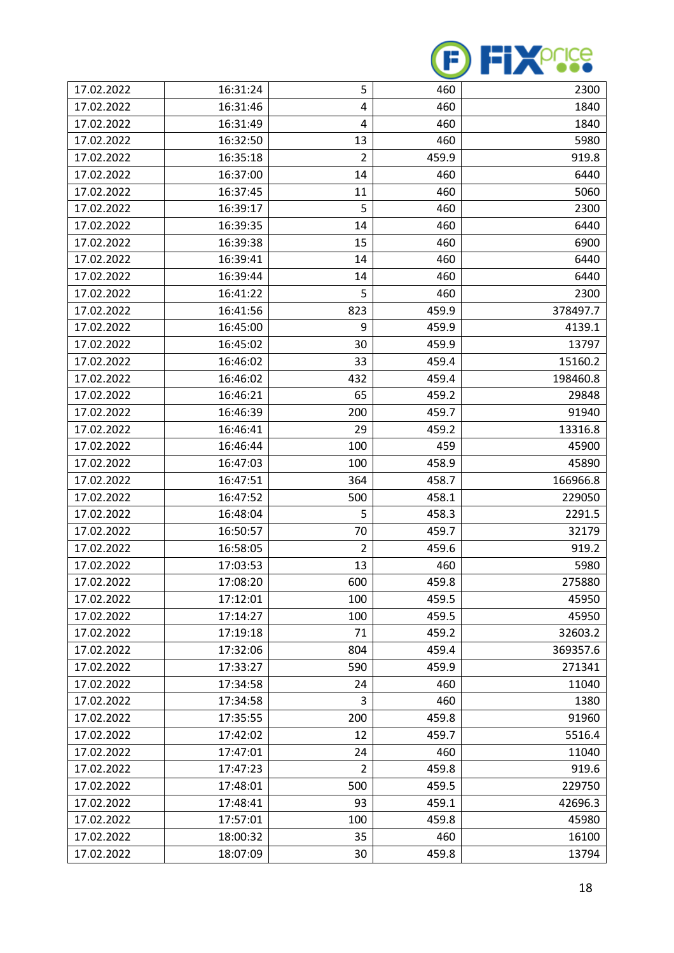

| 17.02.2022 | 16:31:24 | 5              | 460   | 2300     |
|------------|----------|----------------|-------|----------|
| 17.02.2022 | 16:31:46 | 4              | 460   | 1840     |
| 17.02.2022 | 16:31:49 | 4              | 460   | 1840     |
| 17.02.2022 | 16:32:50 | 13             | 460   | 5980     |
| 17.02.2022 | 16:35:18 | $\overline{2}$ | 459.9 | 919.8    |
| 17.02.2022 | 16:37:00 | 14             | 460   | 6440     |
| 17.02.2022 | 16:37:45 | 11             | 460   | 5060     |
| 17.02.2022 | 16:39:17 | 5              | 460   | 2300     |
| 17.02.2022 | 16:39:35 | 14             | 460   | 6440     |
| 17.02.2022 | 16:39:38 | 15             | 460   | 6900     |
| 17.02.2022 | 16:39:41 | 14             | 460   | 6440     |
| 17.02.2022 | 16:39:44 | 14             | 460   | 6440     |
| 17.02.2022 | 16:41:22 | 5              | 460   | 2300     |
| 17.02.2022 | 16:41:56 | 823            | 459.9 | 378497.7 |
| 17.02.2022 | 16:45:00 | 9              | 459.9 | 4139.1   |
| 17.02.2022 | 16:45:02 | 30             | 459.9 | 13797    |
| 17.02.2022 | 16:46:02 | 33             | 459.4 | 15160.2  |
| 17.02.2022 | 16:46:02 | 432            | 459.4 | 198460.8 |
| 17.02.2022 | 16:46:21 | 65             | 459.2 | 29848    |
| 17.02.2022 | 16:46:39 | 200            | 459.7 | 91940    |
| 17.02.2022 | 16:46:41 | 29             | 459.2 | 13316.8  |
| 17.02.2022 | 16:46:44 | 100            | 459   | 45900    |
| 17.02.2022 | 16:47:03 | 100            | 458.9 | 45890    |
| 17.02.2022 | 16:47:51 | 364            | 458.7 | 166966.8 |
| 17.02.2022 | 16:47:52 | 500            | 458.1 | 229050   |
| 17.02.2022 | 16:48:04 | 5              | 458.3 | 2291.5   |
| 17.02.2022 | 16:50:57 | 70             | 459.7 | 32179    |
| 17.02.2022 | 16:58:05 | $\overline{2}$ | 459.6 | 919.2    |
| 17.02.2022 | 17:03:53 | 13             | 460   | 5980     |
| 17.02.2022 | 17:08:20 | 600            | 459.8 | 275880   |
| 17.02.2022 | 17:12:01 | 100            | 459.5 | 45950    |
| 17.02.2022 | 17:14:27 | 100            | 459.5 | 45950    |
| 17.02.2022 | 17:19:18 | 71             | 459.2 | 32603.2  |
| 17.02.2022 | 17:32:06 | 804            | 459.4 | 369357.6 |
| 17.02.2022 | 17:33:27 | 590            | 459.9 | 271341   |
| 17.02.2022 | 17:34:58 | 24             | 460   | 11040    |
| 17.02.2022 | 17:34:58 | 3              | 460   | 1380     |
| 17.02.2022 | 17:35:55 | 200            | 459.8 | 91960    |
| 17.02.2022 | 17:42:02 | 12             | 459.7 | 5516.4   |
| 17.02.2022 | 17:47:01 | 24             | 460   | 11040    |
| 17.02.2022 | 17:47:23 | $\overline{2}$ | 459.8 | 919.6    |
| 17.02.2022 | 17:48:01 | 500            | 459.5 | 229750   |
| 17.02.2022 | 17:48:41 | 93             | 459.1 | 42696.3  |
| 17.02.2022 | 17:57:01 | 100            | 459.8 | 45980    |
| 17.02.2022 | 18:00:32 | 35             | 460   | 16100    |
| 17.02.2022 | 18:07:09 | 30             | 459.8 | 13794    |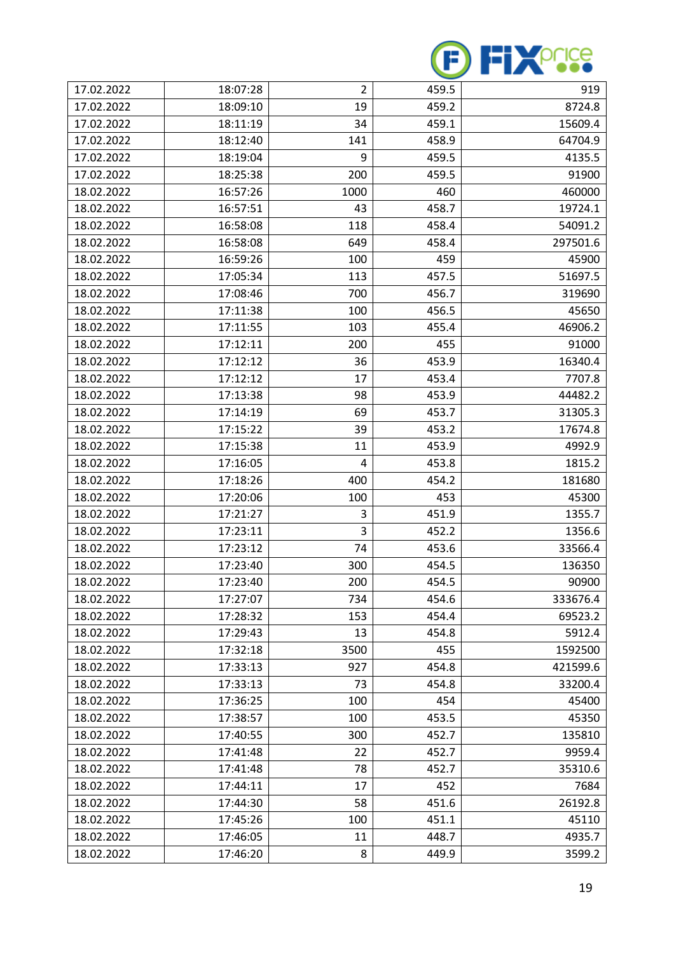

| 17.02.2022 | 18:07:28 | $\overline{2}$ | 459.5 | 919      |
|------------|----------|----------------|-------|----------|
| 17.02.2022 | 18:09:10 | 19             | 459.2 | 8724.8   |
| 17.02.2022 | 18:11:19 | 34             | 459.1 | 15609.4  |
| 17.02.2022 | 18:12:40 | 141            | 458.9 | 64704.9  |
| 17.02.2022 | 18:19:04 | 9              | 459.5 | 4135.5   |
| 17.02.2022 | 18:25:38 | 200            | 459.5 | 91900    |
| 18.02.2022 | 16:57:26 | 1000           | 460   | 460000   |
| 18.02.2022 | 16:57:51 | 43             | 458.7 | 19724.1  |
| 18.02.2022 | 16:58:08 | 118            | 458.4 | 54091.2  |
| 18.02.2022 | 16:58:08 | 649            | 458.4 | 297501.6 |
| 18.02.2022 | 16:59:26 | 100            | 459   | 45900    |
| 18.02.2022 | 17:05:34 | 113            | 457.5 | 51697.5  |
| 18.02.2022 | 17:08:46 | 700            | 456.7 | 319690   |
| 18.02.2022 | 17:11:38 | 100            | 456.5 | 45650    |
| 18.02.2022 | 17:11:55 | 103            | 455.4 | 46906.2  |
| 18.02.2022 | 17:12:11 | 200            | 455   | 91000    |
| 18.02.2022 | 17:12:12 | 36             | 453.9 | 16340.4  |
| 18.02.2022 | 17:12:12 | 17             | 453.4 | 7707.8   |
| 18.02.2022 | 17:13:38 | 98             | 453.9 | 44482.2  |
| 18.02.2022 | 17:14:19 | 69             | 453.7 | 31305.3  |
| 18.02.2022 | 17:15:22 | 39             | 453.2 | 17674.8  |
| 18.02.2022 | 17:15:38 | 11             | 453.9 | 4992.9   |
| 18.02.2022 | 17:16:05 | 4              | 453.8 | 1815.2   |
| 18.02.2022 | 17:18:26 | 400            | 454.2 | 181680   |
| 18.02.2022 | 17:20:06 | 100            | 453   | 45300    |
| 18.02.2022 | 17:21:27 | 3              | 451.9 | 1355.7   |
| 18.02.2022 | 17:23:11 | 3              | 452.2 | 1356.6   |
| 18.02.2022 | 17:23:12 | 74             | 453.6 | 33566.4  |
| 18.02.2022 | 17:23:40 | 300            | 454.5 | 136350   |
| 18.02.2022 | 17:23:40 | 200            | 454.5 | 90900    |
| 18.02.2022 | 17:27:07 | 734            | 454.6 | 333676.4 |
| 18.02.2022 | 17:28:32 | 153            | 454.4 | 69523.2  |
| 18.02.2022 | 17:29:43 | 13             | 454.8 | 5912.4   |
| 18.02.2022 | 17:32:18 | 3500           | 455   | 1592500  |
| 18.02.2022 | 17:33:13 | 927            | 454.8 | 421599.6 |
| 18.02.2022 | 17:33:13 | 73             | 454.8 | 33200.4  |
| 18.02.2022 | 17:36:25 | 100            | 454   | 45400    |
| 18.02.2022 | 17:38:57 | 100            | 453.5 | 45350    |
| 18.02.2022 | 17:40:55 | 300            | 452.7 | 135810   |
| 18.02.2022 | 17:41:48 | 22             | 452.7 | 9959.4   |
| 18.02.2022 | 17:41:48 | 78             | 452.7 | 35310.6  |
| 18.02.2022 | 17:44:11 | 17             | 452   | 7684     |
| 18.02.2022 | 17:44:30 | 58             | 451.6 | 26192.8  |
| 18.02.2022 | 17:45:26 | 100            | 451.1 | 45110    |
| 18.02.2022 | 17:46:05 | 11             | 448.7 | 4935.7   |
| 18.02.2022 | 17:46:20 | 8              | 449.9 | 3599.2   |